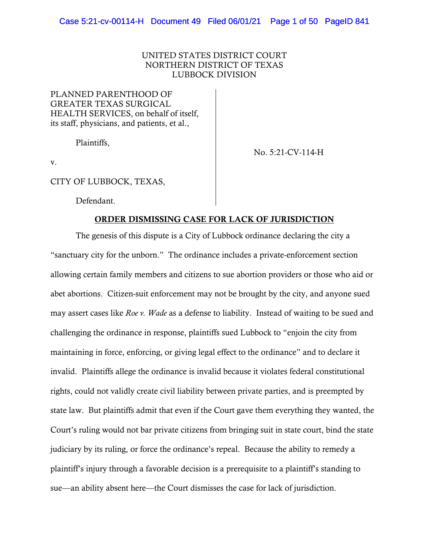# UNITED STATES DISTRICT COURT NORTHERN DISTRICT OF TEXAS LUBBOCK DIVISION

PLANNED PARENTHOOD OF GREATER TEXAS SURGICAL HEALTH SERVICES, on behalf of itself, its staff, physicians, and patients, et al.,

Plaintiffs,

No. 5:21-CV-114-H

v.

CITY OF LUBBOCK, TEXAS,

Defendant.

#### ORDER DISMISSING CASE FOR LACK OF JURISDICTION

The genesis of this dispute is a City of Lubbock ordinance declaring the city a "sanctuary city for the unborn." The ordinance includes a private-enforcement section allowing certain family members and citizens to sue abortion providers or those who aid or abet abortions. Citizen-suit enforcement may not be brought by the city, and anyone sued may assert cases like *Roe v. Wade* as a defense to liability. Instead of waiting to be sued and challenging the ordinance in response, plaintiffs sued Lubbock to "enjoin the city from maintaining in force, enforcing, or giving legal effect to the ordinance" and to declare it invalid. Plaintiffs allege the ordinance is invalid because it violates federal constitutional rights, could not validly create civil liability between private parties, and is preempted by state law. But plaintiffs admit that even if the Court gave them everything they wanted, the Court's ruling would not bar private citizens from bringing suit in state court, bind the state judiciary by its ruling, or force the ordinance's repeal. Because the ability to remedy a plaintiff's injury through a favorable decision is a prerequisite to a plaintiff's standing to sue—an ability absent here—the Court dismisses the case for lack of jurisdiction.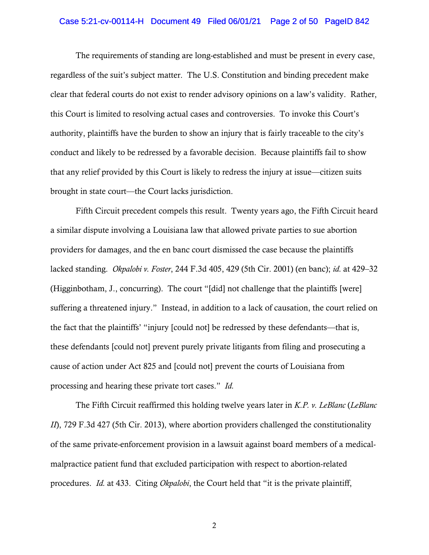#### Case 5:21-cv-00114-H Document 49 Filed 06/01/21 Page 2 of 50 PageID 842

The requirements of standing are long-established and must be present in every case, regardless of the suit's subject matter. The U.S. Constitution and binding precedent make clear that federal courts do not exist to render advisory opinions on a law's validity. Rather, this Court is limited to resolving actual cases and controversies. To invoke this Court's authority, plaintiffs have the burden to show an injury that is fairly traceable to the city's conduct and likely to be redressed by a favorable decision. Because plaintiffs fail to show that any relief provided by this Court is likely to redress the injury at issue—citizen suits brought in state court—the Court lacks jurisdiction.

Fifth Circuit precedent compels this result. Twenty years ago, the Fifth Circuit heard a similar dispute involving a Louisiana law that allowed private parties to sue abortion providers for damages, and the en banc court dismissed the case because the plaintiffs lacked standing. *Okpalobi v. Foster*, 244 F.3d 405, 429 (5th Cir. 2001) (en banc); *id.* at 429–32 (Higginbotham, J., concurring). The court "[did] not challenge that the plaintiffs [were] suffering a threatened injury." Instead, in addition to a lack of causation, the court relied on the fact that the plaintiffs' "injury [could not] be redressed by these defendants—that is, these defendants [could not] prevent purely private litigants from filing and prosecuting a cause of action under Act 825 and [could not] prevent the courts of Louisiana from processing and hearing these private tort cases." *Id.*

The Fifth Circuit reaffirmed this holding twelve years later in *K.P. v. LeBlanc* (*LeBlanc II*), 729 F.3d 427 (5th Cir. 2013), where abortion providers challenged the constitutionality of the same private-enforcement provision in a lawsuit against board members of a medicalmalpractice patient fund that excluded participation with respect to abortion-related procedures. *Id.* at 433. Citing *Okpalobi*, the Court held that "it is the private plaintiff,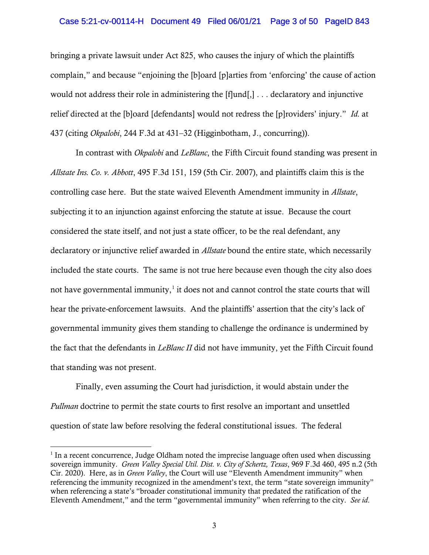## Case 5:21-cv-00114-H Document 49 Filed 06/01/21 Page 3 of 50 PageID 843

bringing a private lawsuit under Act 825, who causes the injury of which the plaintiffs complain," and because "enjoining the [b]oard [p]arties from 'enforcing' the cause of action would not address their role in administering the [f]und[,] . . . declaratory and injunctive relief directed at the [b]oard [defendants] would not redress the [p]roviders' injury." *Id.* at 437 (citing *Okpalobi*, 244 F.3d at 431–32 (Higginbotham, J., concurring)).

In contrast with *Okpalobi* and *LeBlanc*, the Fifth Circuit found standing was present in *Allstate Ins. Co. v. Abbott*, 495 F.3d 151, 159 (5th Cir. 2007), and plaintiffs claim this is the controlling case here. But the state waived Eleventh Amendment immunity in *Allstate*, subjecting it to an injunction against enforcing the statute at issue. Because the court considered the state itself, and not just a state officer, to be the real defendant, any declaratory or injunctive relief awarded in *Allstate* bound the entire state, which necessarily included the state courts. The same is not true here because even though the city also does not have governmental immunity, $\frac{1}{1}$  $\frac{1}{1}$  $\frac{1}{1}$  it does not and cannot control the state courts that will hear the private-enforcement lawsuits. And the plaintiffs' assertion that the city's lack of governmental immunity gives them standing to challenge the ordinance is undermined by the fact that the defendants in *LeBlanc II* did not have immunity, yet the Fifth Circuit found that standing was not present.

Finally, even assuming the Court had jurisdiction, it would abstain under the *Pullman* doctrine to permit the state courts to first resolve an important and unsettled question of state law before resolving the federal constitutional issues. The federal

<span id="page-2-0"></span> $1$  In a recent concurrence, Judge Oldham noted the imprecise language often used when discussing sovereign immunity. *Green Valley Special Util. Dist. v. City of Schertz, Texas*, 969 F.3d 460, 495 n.2 (5th Cir. 2020). Here, as in *Green Valley*, the Court will use "Eleventh Amendment immunity" when referencing the immunity recognized in the amendment's text, the term "state sovereign immunity" when referencing a state's "broader constitutional immunity that predated the ratification of the Eleventh Amendment," and the term "governmental immunity" when referring to the city. *See id*.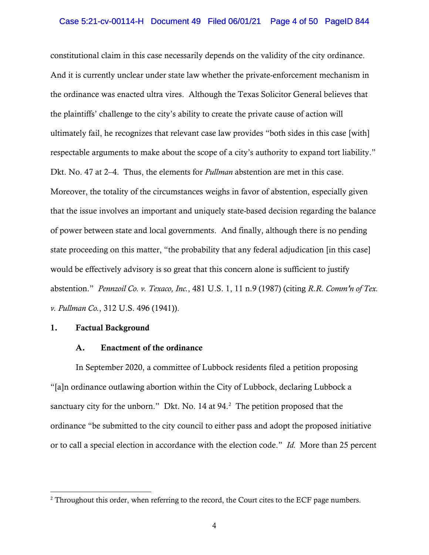## Case 5:21-cv-00114-H Document 49 Filed 06/01/21 Page 4 of 50 PageID 844

constitutional claim in this case necessarily depends on the validity of the city ordinance. And it is currently unclear under state law whether the private-enforcement mechanism in the ordinance was enacted ultra vires. Although the Texas Solicitor General believes that the plaintiffs' challenge to the city's ability to create the private cause of action will ultimately fail, he recognizes that relevant case law provides "both sides in this case [with] respectable arguments to make about the scope of a city's authority to expand tort liability." Dkt. No. 47 at 2–4. Thus, the elements for *Pullman* abstention are met in this case. Moreover, the totality of the circumstances weighs in favor of abstention, especially given that the issue involves an important and uniquely state-based decision regarding the balance of power between state and local governments. And finally, although there is no pending state proceeding on this matter, "the probability that any federal adjudication [in this case] would be effectively advisory is so great that this concern alone is sufficient to justify abstention." *Pennzoil Co. v. Texaco, Inc.*, 481 U.S. 1, 11 n.9 (1987) (citing *R.R. Comm'n of Tex. v. Pullman Co.*, 312 U.S. 496 (1941)).

# 1. Factual Background

#### A. Enactment of the ordinance

In September 2020, a committee of Lubbock residents filed a petition proposing "[a]n ordinance outlawing abortion within the City of Lubbock, declaring Lubbock a sanctuary city for the unborn." Dkt. No. 14 at  $94.<sup>2</sup>$  $94.<sup>2</sup>$  $94.<sup>2</sup>$  The petition proposed that the ordinance "be submitted to the city council to either pass and adopt the proposed initiative or to call a special election in accordance with the election code." *Id.* More than 25 percent

<span id="page-3-0"></span><sup>&</sup>lt;sup>2</sup> Throughout this order, when referring to the record, the Court cites to the ECF page numbers.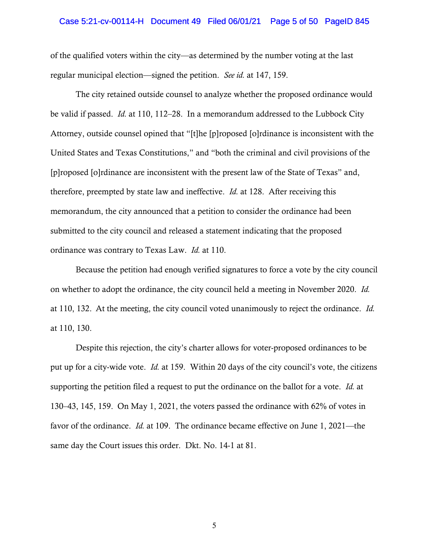#### Case 5:21-cv-00114-H Document 49 Filed 06/01/21 Page 5 of 50 PageID 845

of the qualified voters within the city—as determined by the number voting at the last regular municipal election—signed the petition. *See id.* at 147, 159.

The city retained outside counsel to analyze whether the proposed ordinance would be valid if passed. *Id.* at 110, 112–28. In a memorandum addressed to the Lubbock City Attorney, outside counsel opined that "[t]he [p]roposed [o]rdinance is inconsistent with the United States and Texas Constitutions," and "both the criminal and civil provisions of the [p]roposed [o]rdinance are inconsistent with the present law of the State of Texas" and, therefore, preempted by state law and ineffective. *Id.* at 128. After receiving this memorandum, the city announced that a petition to consider the ordinance had been submitted to the city council and released a statement indicating that the proposed ordinance was contrary to Texas Law. *Id.* at 110.

Because the petition had enough verified signatures to force a vote by the city council on whether to adopt the ordinance, the city council held a meeting in November 2020. *Id.* at 110, 132.At the meeting, the city council voted unanimously to reject the ordinance. *Id.* at 110, 130.

Despite this rejection, the city's charter allows for voter-proposed ordinances to be put up for a city-wide vote. *Id.* at 159. Within 20 days of the city council's vote, the citizens supporting the petition filed a request to put the ordinance on the ballot for a vote. *Id.* at 130–43, 145, 159. On May 1, 2021, the voters passed the ordinance with 62% of votes in favor of the ordinance. *Id.* at 109. The ordinance became effective on June 1, 2021—the same day the Court issues this order. Dkt. No. 14-1 at 81.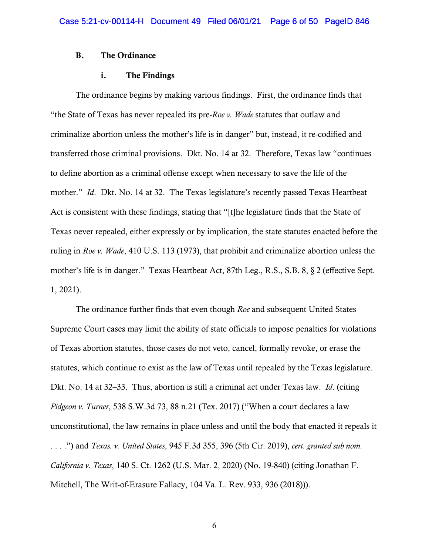## B. The Ordinance

## i. The Findings

The ordinance begins by making various findings. First, the ordinance finds that "the State of Texas has never repealed its pre-*Roe v. Wade* statutes that outlaw and criminalize abortion unless the mother's life is in danger" but, instead, it re-codified and transferred those criminal provisions. Dkt. No. 14 at 32. Therefore, Texas law "continues to define abortion as a criminal offense except when necessary to save the life of the mother." *Id*. Dkt. No. 14 at 32. The Texas legislature's recently passed Texas Heartbeat Act is consistent with these findings, stating that "[t]he legislature finds that the State of Texas never repealed, either expressly or by implication, the state statutes enacted before the ruling in *Roe v. Wade*, 410 U.S. 113 (1973), that prohibit and criminalize abortion unless the mother's life is in danger." Texas Heartbeat Act, 87th Leg., R.S., S.B. 8, § 2 (effective Sept. 1, 2021).

The ordinance further finds that even though *Roe* and subsequent United States Supreme Court cases may limit the ability of state officials to impose penalties for violations of Texas abortion statutes, those cases do not veto, cancel, formally revoke, or erase the statutes, which continue to exist as the law of Texas until repealed by the Texas legislature. Dkt. No. 14 at 32–33. Thus, abortion is still a criminal act under Texas law. *Id*. (citing *Pidgeon v. Turner*, 538 S.W.3d 73, 88 n.21 (Tex. 2017) ("When a court declares a law unconstitutional, the law remains in place unless and until the body that enacted it repeals it . . . .") and *Texas. v. United States*, 945 F.3d 355, 396 (5th Cir. 2019), *cert. granted sub nom. California v. Texas*, 140 S. Ct. 1262 (U.S. Mar. 2, 2020) (No. 19-840) (citing Jonathan F. Mitchell, The Writ-of-Erasure Fallacy, 104 Va. L. Rev. 933, 936 (2018))).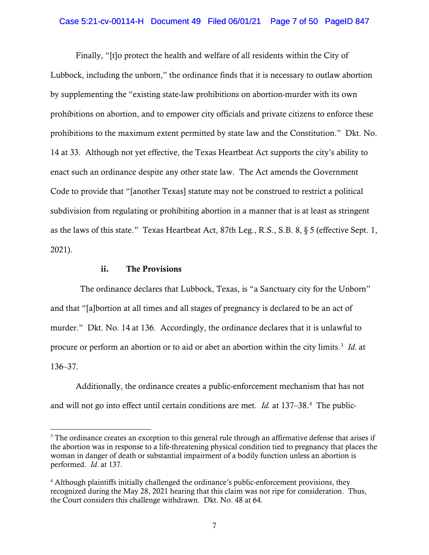## Case 5:21-cv-00114-H Document 49 Filed 06/01/21 Page 7 of 50 PageID 847

Finally, "[t]o protect the health and welfare of all residents within the City of Lubbock, including the unborn," the ordinance finds that it is necessary to outlaw abortion by supplementing the "existing state-law prohibitions on abortion-murder with its own prohibitions on abortion, and to empower city officials and private citizens to enforce these prohibitions to the maximum extent permitted by state law and the Constitution." Dkt. No. 14 at 33. Although not yet effective, the Texas Heartbeat Act supports the city's ability to enact such an ordinance despite any other state law. The Act amends the Government Code to provide that "[another Texas] statute may not be construed to restrict a political subdivision from regulating or prohibiting abortion in a manner that is at least as stringent as the laws of this state." Texas Heartbeat Act, 87th Leg., R.S., S.B. 8, § 5 (effective Sept. 1, 2021).

#### ii. The Provisions

 The ordinance declares that Lubbock, Texas, is "a Sanctuary city for the Unborn" and that "[a]bortion at all times and all stages of pregnancy is declared to be an act of murder." Dkt. No. 14 at 136. Accordingly, the ordinance declares that it is unlawful to procure or perform an abortion or to aid or abet an abortion within the city limits. [3](#page-6-0) *Id.* at 136–37.

Additionally, the ordinance creates a public-enforcement mechanism that has not and will not go into effect until certain conditions are met. *Id.* at 137–38.<sup>[4](#page-6-1)</sup> The public-

<span id="page-6-0"></span><sup>&</sup>lt;sup>3</sup> The ordinance creates an exception to this general rule through an affirmative defense that arises if the abortion was in response to a life-threatening physical condition tied to pregnancy that places the woman in danger of death or substantial impairment of a bodily function unless an abortion is performed. *Id.* at 137.

<span id="page-6-1"></span><sup>4</sup> Although plaintiffs initially challenged the ordinance's public-enforcement provisions, they recognized during the May 28, 2021 hearing that this claim was not ripe for consideration. Thus, the Court considers this challenge withdrawn. Dkt. No. 48 at 64.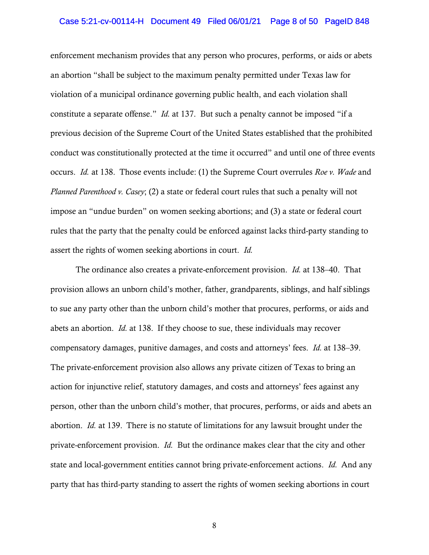#### Case 5:21-cv-00114-H Document 49 Filed 06/01/21 Page 8 of 50 PageID 848

enforcement mechanism provides that any person who procures, performs, or aids or abets an abortion "shall be subject to the maximum penalty permitted under Texas law for violation of a municipal ordinance governing public health, and each violation shall constitute a separate offense." *Id.* at 137. But such a penalty cannot be imposed "if a previous decision of the Supreme Court of the United States established that the prohibited conduct was constitutionally protected at the time it occurred" and until one of three events occurs. *Id.* at 138. Those events include: (1) the Supreme Court overrules *Roe v. Wade* and *Planned Parenthood v. Casey*; (2) a state or federal court rules that such a penalty will not impose an "undue burden" on women seeking abortions; and (3) a state or federal court rules that the party that the penalty could be enforced against lacks third-party standing to assert the rights of women seeking abortions in court. *Id.*

The ordinance also creates a private-enforcement provision. *Id.* at 138–40. That provision allows an unborn child's mother, father, grandparents, siblings, and half siblings to sue any party other than the unborn child's mother that procures, performs, or aids and abets an abortion. *Id.* at 138. If they choose to sue, these individuals may recover compensatory damages, punitive damages, and costs and attorneys' fees. *Id.* at 138–39. The private-enforcement provision also allows any private citizen of Texas to bring an action for injunctive relief, statutory damages, and costs and attorneys' fees against any person, other than the unborn child's mother, that procures, performs, or aids and abets an abortion. *Id.* at 139. There is no statute of limitations for any lawsuit brought under the private-enforcement provision. *Id.* But the ordinance makes clear that the city and other state and local-government entities cannot bring private-enforcement actions. *Id.* And any party that has third-party standing to assert the rights of women seeking abortions in court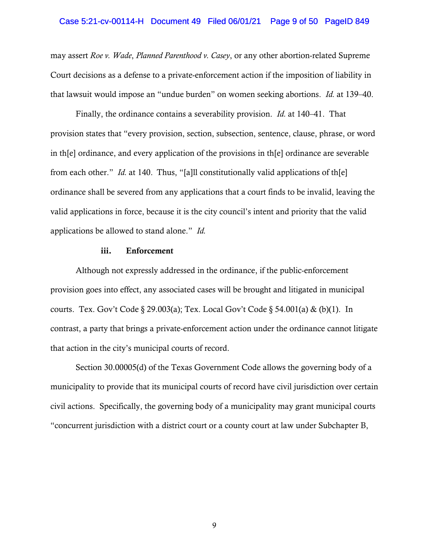#### Case 5:21-cv-00114-H Document 49 Filed 06/01/21 Page 9 of 50 PageID 849

may assert *Roe v. Wade*, *Planned Parenthood v. Casey*, or any other abortion-related Supreme Court decisions as a defense to a private-enforcement action if the imposition of liability in that lawsuit would impose an "undue burden" on women seeking abortions. *Id.* at 139–40.

Finally, the ordinance contains a severability provision. *Id.* at 140–41. That provision states that "every provision, section, subsection, sentence, clause, phrase, or word in th[e] ordinance, and every application of the provisions in th[e] ordinance are severable from each other." *Id.* at 140.Thus, "[a]ll constitutionally valid applications of th[e] ordinance shall be severed from any applications that a court finds to be invalid, leaving the valid applications in force, because it is the city council's intent and priority that the valid applications be allowed to stand alone." *Id.* 

### iii. Enforcement

Although not expressly addressed in the ordinance, if the public-enforcement provision goes into effect, any associated cases will be brought and litigated in municipal courts. Tex. Gov't Code § 29.003(a); Tex. Local Gov't Code § 54.001(a) & (b)(1). In contrast, a party that brings a private-enforcement action under the ordinance cannot litigate that action in the city's municipal courts of record.

Section 30.00005(d) of the Texas Government Code allows the governing body of a municipality to provide that its municipal courts of record have civil jurisdiction over certain civil actions. Specifically, the governing body of a municipality may grant municipal courts "concurrent jurisdiction with a district court or a county court at law under Subchapter B,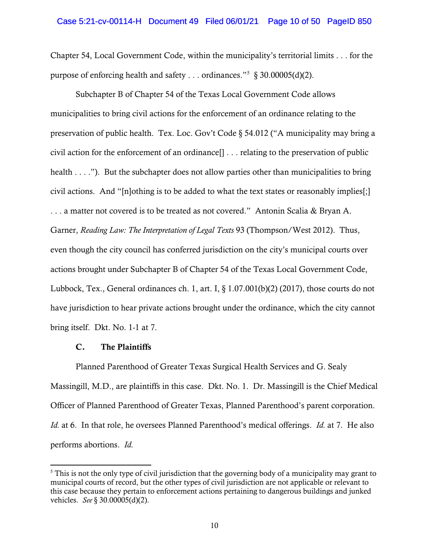Chapter 54, Local Government Code, within the municipality's territorial limits . . . for the purpose of enforcing health and safety . . . ordinances."<sup>[5](#page-9-0)</sup> § 30.00005(d)(2).

Subchapter B of Chapter 54 of the Texas Local Government Code allows municipalities to bring civil actions for the enforcement of an ordinance relating to the preservation of public health. Tex. Loc. Gov't Code § 54.012 ("A municipality may bring a civil action for the enforcement of an ordinance[] . . . relating to the preservation of public health . . . ."). But the subchapter does not allow parties other than municipalities to bring civil actions. And "[n]othing is to be added to what the text states or reasonably implies[;] . . . a matter not covered is to be treated as not covered." Antonin Scalia & Bryan A. Garner, *Reading Law: The Interpretation of Legal Texts* 93 (Thompson/West 2012). Thus, even though the city council has conferred jurisdiction on the city's municipal courts over actions brought under Subchapter B of Chapter 54 of the Texas Local Government Code, Lubbock, Tex., General ordinances ch. 1, art. I,  $\S 1.07.001(b)(2)$  (2017), those courts do not have jurisdiction to hear private actions brought under the ordinance, which the city cannot bring itself. Dkt. No. 1-1 at 7.

# C. The Plaintiffs

Planned Parenthood of Greater Texas Surgical Health Services and G. Sealy Massingill, M.D., are plaintiffs in this case. Dkt. No. 1. Dr. Massingill is the Chief Medical Officer of Planned Parenthood of Greater Texas, Planned Parenthood's parent corporation. *Id.* at 6. In that role, he oversees Planned Parenthood's medical offerings. *Id.* at 7. He also performs abortions. *Id.* 

<span id="page-9-0"></span><sup>&</sup>lt;sup>5</sup> This is not the only type of civil jurisdiction that the governing body of a municipality may grant to municipal courts of record, but the other types of civil jurisdiction are not applicable or relevant to this case because they pertain to enforcement actions pertaining to dangerous buildings and junked vehicles. *See* § 30.00005(d)(2).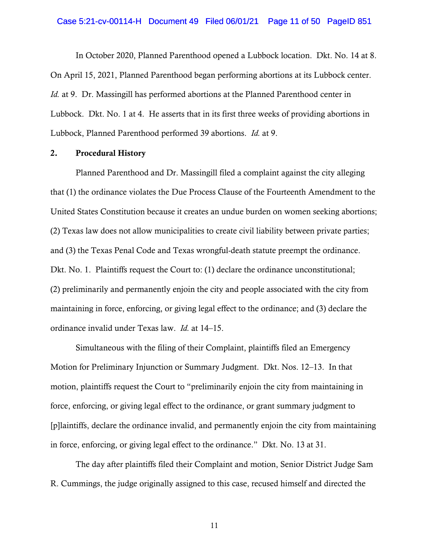#### Case 5:21-cv-00114-H Document 49 Filed 06/01/21 Page 11 of 50 PageID 851

In October 2020, Planned Parenthood opened a Lubbock location. Dkt. No. 14 at 8. On April 15, 2021, Planned Parenthood began performing abortions at its Lubbock center. *Id.* at 9. Dr. Massingill has performed abortions at the Planned Parenthood center in Lubbock. Dkt. No. 1 at 4. He asserts that in its first three weeks of providing abortions in Lubbock, Planned Parenthood performed 39 abortions. *Id.* at 9.

## 2. Procedural History

Planned Parenthood and Dr. Massingill filed a complaint against the city alleging that (1) the ordinance violates the Due Process Clause of the Fourteenth Amendment to the United States Constitution because it creates an undue burden on women seeking abortions; (2) Texas law does not allow municipalities to create civil liability between private parties; and (3) the Texas Penal Code and Texas wrongful-death statute preempt the ordinance. Dkt. No. 1. Plaintiffs request the Court to: (1) declare the ordinance unconstitutional; (2) preliminarily and permanently enjoin the city and people associated with the city from maintaining in force, enforcing, or giving legal effect to the ordinance; and (3) declare the ordinance invalid under Texas law. *Id.* at 14–15.

Simultaneous with the filing of their Complaint, plaintiffs filed an Emergency Motion for Preliminary Injunction or Summary Judgment. Dkt. Nos. 12–13. In that motion, plaintiffs request the Court to "preliminarily enjoin the city from maintaining in force, enforcing, or giving legal effect to the ordinance, or grant summary judgment to [p]laintiffs, declare the ordinance invalid, and permanently enjoin the city from maintaining in force, enforcing, or giving legal effect to the ordinance." Dkt. No. 13 at 31.

The day after plaintiffs filed their Complaint and motion, Senior District Judge Sam R. Cummings, the judge originally assigned to this case, recused himself and directed the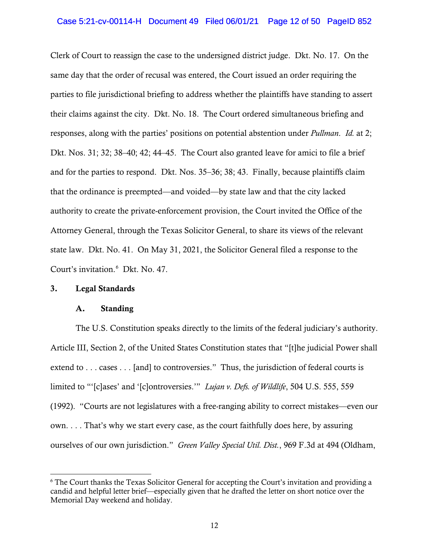## Case 5:21-cv-00114-H Document 49 Filed 06/01/21 Page 12 of 50 PageID 852

Clerk of Court to reassign the case to the undersigned district judge. Dkt. No. 17. On the same day that the order of recusal was entered, the Court issued an order requiring the parties to file jurisdictional briefing to address whether the plaintiffs have standing to assert their claims against the city. Dkt. No. 18. The Court ordered simultaneous briefing and responses, along with the parties' positions on potential abstention under *Pullman*. *Id.* at 2; Dkt. Nos. 31; 32; 38–40; 42; 44–45. The Court also granted leave for amici to file a brief and for the parties to respond. Dkt. Nos. 35–36; 38; 43. Finally, because plaintiffs claim that the ordinance is preempted—and voided—by state law and that the city lacked authority to create the private-enforcement provision, the Court invited the Office of the Attorney General, through the Texas Solicitor General, to share its views of the relevant state law. Dkt. No. 41. On May 31, 2021, the Solicitor General filed a response to the Court's invitation. [6](#page-11-0) Dkt. No. 47.

# 3. Legal Standards

## A. Standing

The U.S. Constitution speaks directly to the limits of the federal judiciary's authority. Article III, Section 2, of the United States Constitution states that "[t]he judicial Power shall extend to . . . cases . . . [and] to controversies." Thus, the jurisdiction of federal courts is limited to "'[c]ases' and '[c]ontroversies.'" *Lujan v. Defs. of Wildlife*, 504 U.S. 555, 559 (1992). "Courts are not legislatures with a free-ranging ability to correct mistakes—even our own. . . . That's why we start every case, as the court faithfully does here, by assuring ourselves of our own jurisdiction." *Green Valley Special Util. Dist.*, 969 F.3d at 494 (Oldham,

<span id="page-11-0"></span><sup>6</sup> The Court thanks the Texas Solicitor General for accepting the Court's invitation and providing a candid and helpful letter brief—especially given that he drafted the letter on short notice over the Memorial Day weekend and holiday.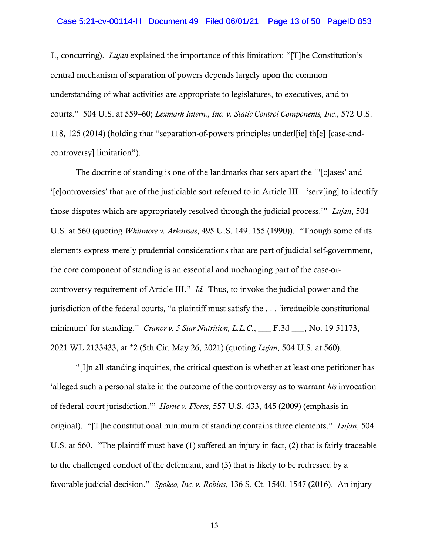#### Case 5:21-cv-00114-H Document 49 Filed 06/01/21 Page 13 of 50 PageID 853

J., concurring). *Lujan* explained the importance of this limitation: "[T]he Constitution's central mechanism of separation of powers depends largely upon the common understanding of what activities are appropriate to legislatures, to executives, and to courts." 504 U.S. at 559–60; *Lexmark Intern., Inc. v. Static Control Components, Inc.*, 572 U.S. 118, 125 (2014) (holding that "separation-of-powers principles underl[ie] th[e] [case-andcontroversy] limitation").

The doctrine of standing is one of the landmarks that sets apart the "'[c]ases' and '[c]ontroversies' that are of the justiciable sort referred to in Article III—'serv[ing] to identify those disputes which are appropriately resolved through the judicial process.'" *Lujan*, 504 U.S. at 560 (quoting *Whitmore v. Arkansas*, 495 U.S. 149, 155 (1990)). "Though some of its elements express merely prudential considerations that are part of judicial self-government, the core component of standing is an essential and unchanging part of the case-orcontroversy requirement of Article III." *Id.* Thus, to invoke the judicial power and the jurisdiction of the federal courts, "a plaintiff must satisfy the . . . 'irreducible constitutional minimum' for standing." *Cranor v. 5 Star Nutrition, L.L.C.*, \_\_\_ F.3d \_\_\_, No. 19-51173, 2021 WL 2133433, at \*2 (5th Cir. May 26, 2021) (quoting *Lujan*, 504 U.S. at 560).

"[I]n all standing inquiries, the critical question is whether at least one petitioner has 'alleged such a personal stake in the outcome of the controversy as to warrant *his* invocation of federal-court jurisdiction.'" *Horne v. Flores*, 557 U.S. 433, 445 (2009) (emphasis in original). "[T]he constitutional minimum of standing contains three elements." *Lujan*, 504 U.S. at 560. "The plaintiff must have (1) suffered an injury in fact, (2) that is fairly traceable to the challenged conduct of the defendant, and (3) that is likely to be redressed by a favorable judicial decision." *Spokeo, Inc. v. Robins*, 136 S. Ct. 1540, 1547 (2016). An injury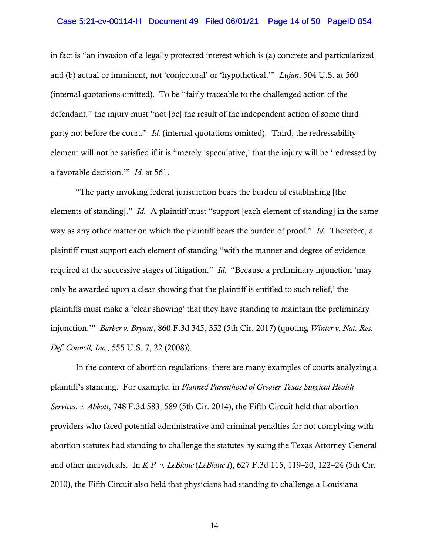### Case 5:21-cv-00114-H Document 49 Filed 06/01/21 Page 14 of 50 PageID 854

in fact is "an invasion of a legally protected interest which is (a) concrete and particularized, and (b) actual or imminent, not 'conjectural' or 'hypothetical.'" *Lujan*, 504 U.S. at 560 (internal quotations omitted). To be "fairly traceable to the challenged action of the defendant," the injury must "not [be] the result of the independent action of some third party not before the court." *Id.* (internal quotations omitted). Third, the redressability element will not be satisfied if it is "merely 'speculative,' that the injury will be 'redressed by a favorable decision.'" *Id.* at 561.

"The party invoking federal jurisdiction bears the burden of establishing [the elements of standing]." *Id.* A plaintiff must "support [each element of standing] in the same way as any other matter on which the plaintiff bears the burden of proof." *Id.* Therefore, a plaintiff must support each element of standing "with the manner and degree of evidence required at the successive stages of litigation." *Id.* "Because a preliminary injunction 'may only be awarded upon a clear showing that the plaintiff is entitled to such relief,' the plaintiffs must make a 'clear showing' that they have standing to maintain the preliminary injunction.'" *Barber v. Bryant*, 860 F.3d 345, 352 (5th Cir. 2017) (quoting *Winter v. Nat. Res. Def. Council, Inc.*, 555 U.S. 7, 22 (2008)).

In the context of abortion regulations, there are many examples of courts analyzing a plaintiff's standing. For example, in *Planned Parenthood of Greater Texas Surgical Health Services. v. Abbott*, 748 F.3d 583, 589 (5th Cir. 2014), the Fifth Circuit held that abortion providers who faced potential administrative and criminal penalties for not complying with abortion statutes had standing to challenge the statutes by suing the Texas Attorney General and other individuals. In *K.P. v. LeBlanc* (*LeBlanc I*), 627 F.3d 115, 119–20, 122–24 (5th Cir. 2010), the Fifth Circuit also held that physicians had standing to challenge a Louisiana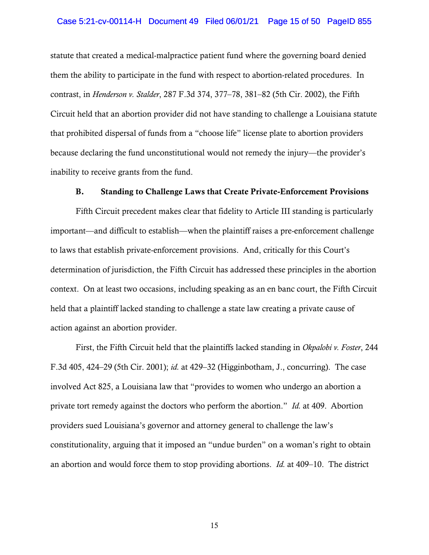## Case 5:21-cv-00114-H Document 49 Filed 06/01/21 Page 15 of 50 PageID 855

statute that created a medical-malpractice patient fund where the governing board denied them the ability to participate in the fund with respect to abortion-related procedures. In contrast, in *Henderson v. Stalder*, 287 F.3d 374, 377–78, 381–82 (5th Cir. 2002), the Fifth Circuit held that an abortion provider did not have standing to challenge a Louisiana statute that prohibited dispersal of funds from a "choose life" license plate to abortion providers because declaring the fund unconstitutional would not remedy the injury—the provider's inability to receive grants from the fund.

#### B. Standing to Challenge Laws that Create Private-Enforcement Provisions

Fifth Circuit precedent makes clear that fidelity to Article III standing is particularly important—and difficult to establish—when the plaintiff raises a pre-enforcement challenge to laws that establish private-enforcement provisions. And, critically for this Court's determination of jurisdiction, the Fifth Circuit has addressed these principles in the abortion context. On at least two occasions, including speaking as an en banc court, the Fifth Circuit held that a plaintiff lacked standing to challenge a state law creating a private cause of action against an abortion provider.

First, the Fifth Circuit held that the plaintiffs lacked standing in *Okpalobi v. Foster*, 244 F.3d 405, 424–29 (5th Cir. 2001); *id.* at 429–32 (Higginbotham, J., concurring). The case involved Act 825, a Louisiana law that "provides to women who undergo an abortion a private tort remedy against the doctors who perform the abortion." *Id.* at 409.Abortion providers sued Louisiana's governor and attorney general to challenge the law's constitutionality, arguing that it imposed an "undue burden" on a woman's right to obtain an abortion and would force them to stop providing abortions. *Id.* at 409–10. The district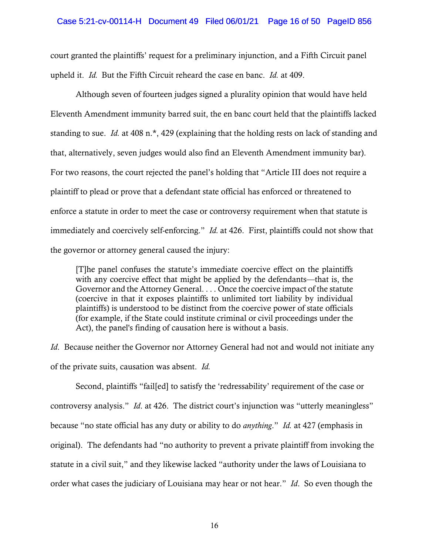### Case 5:21-cv-00114-H Document 49 Filed 06/01/21 Page 16 of 50 PageID 856

court granted the plaintiffs' request for a preliminary injunction, and a Fifth Circuit panel upheld it. *Id.* But the Fifth Circuit reheard the case en banc. *Id.* at 409.

Although seven of fourteen judges signed a plurality opinion that would have held Eleventh Amendment immunity barred suit, the en banc court held that the plaintiffs lacked standing to sue. *Id.* at 408 n.\*, 429 (explaining that the holding rests on lack of standing and that, alternatively, seven judges would also find an Eleventh Amendment immunity bar). For two reasons, the court rejected the panel's holding that "Article III does not require a plaintiff to plead or prove that a defendant state official has enforced or threatened to enforce a statute in order to meet the case or controversy requirement when that statute is immediately and coercively self-enforcing." *Id.* at 426. First, plaintiffs could not show that the governor or attorney general caused the injury:

[T]he panel confuses the statute's immediate coercive effect on the plaintiffs with any coercive effect that might be applied by the defendants—that is, the Governor and the Attorney General. . . . Once the coercive impact of the statute (coercive in that it exposes plaintiffs to unlimited tort liability by individual plaintiffs) is understood to be distinct from the coercive power of state officials (for example, if the State could institute criminal or civil proceedings under the Act), the panel's finding of causation here is without a basis.

*Id*. Because neither the Governor nor Attorney General had not and would not initiate any of the private suits, causation was absent. *Id.*

Second, plaintiffs "fail[ed] to satisfy the 'redressability' requirement of the case or controversy analysis." *Id*. at 426. The district court's injunction was "utterly meaningless" because "no state official has any duty or ability to do *anything*." *Id.* at 427 (emphasis in original). The defendants had "no authority to prevent a private plaintiff from invoking the statute in a civil suit," and they likewise lacked "authority under the laws of Louisiana to order what cases the judiciary of Louisiana may hear or not hear." *Id*. So even though the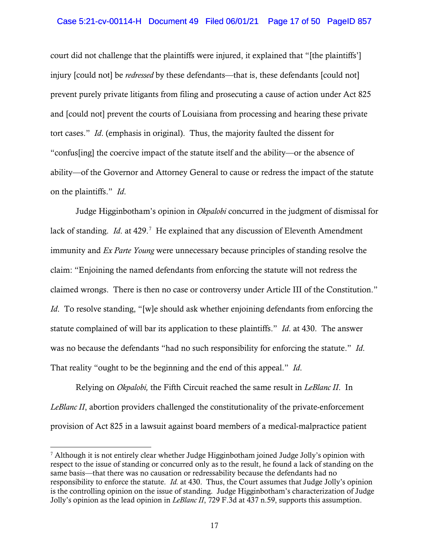## Case 5:21-cv-00114-H Document 49 Filed 06/01/21 Page 17 of 50 PageID 857

court did not challenge that the plaintiffs were injured, it explained that "[the plaintiffs'] injury [could not] be *redressed* by these defendants—that is, these defendants [could not] prevent purely private litigants from filing and prosecuting a cause of action under Act 825 and [could not] prevent the courts of Louisiana from processing and hearing these private tort cases." *Id*. (emphasis in original). Thus, the majority faulted the dissent for "confus[ing] the coercive impact of the statute itself and the ability—or the absence of ability—of the Governor and Attorney General to cause or redress the impact of the statute on the plaintiffs." *Id*.

Judge Higginbotham's opinion in *Okpalobi* concurred in the judgment of dismissal for lack of standing. *Id.* at 429.<sup>[7](#page-16-0)</sup> He explained that any discussion of Eleventh Amendment immunity and *Ex Parte Young* were unnecessary because principles of standing resolve the claim: "Enjoining the named defendants from enforcing the statute will not redress the claimed wrongs. There is then no case or controversy under Article III of the Constitution." *Id.* To resolve standing, "[w]e should ask whether enjoining defendants from enforcing the statute complained of will bar its application to these plaintiffs." *Id*. at 430. The answer was no because the defendants "had no such responsibility for enforcing the statute." *Id*. That reality "ought to be the beginning and the end of this appeal." *Id*.

Relying on *Okpalobi,* the Fifth Circuit reached the same result in *LeBlanc II*. In *LeBlanc II*, abortion providers challenged the constitutionality of the private-enforcement provision of Act 825 in a lawsuit against board members of a medical-malpractice patient

<span id="page-16-0"></span> $\frac{7}{7}$  Although it is not entirely clear whether Judge Higginbotham joined Judge Jolly's opinion with respect to the issue of standing or concurred only as to the result, he found a lack of standing on the same basis—that there was no causation or redressability because the defendants had no responsibility to enforce the statute. *Id.* at 430. Thus, the Court assumes that Judge Jolly's opinion is the controlling opinion on the issue of standing. Judge Higginbotham's characterization of Judge Jolly's opinion as the lead opinion in *LeBlanc II*, 729 F.3d at 437 n.59, supports this assumption.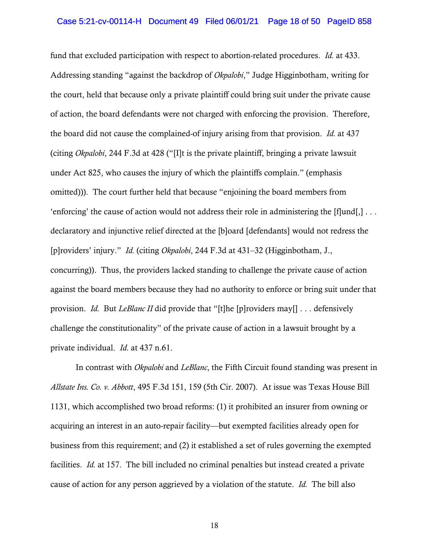fund that excluded participation with respect to abortion-related procedures. *Id.* at 433. Addressing standing "against the backdrop of *Okpalobi*," Judge Higginbotham, writing for the court, held that because only a private plaintiff could bring suit under the private cause of action, the board defendants were not charged with enforcing the provision. Therefore, the board did not cause the complained-of injury arising from that provision. *Id.* at 437 (citing *Okpalobi*, 244 F.3d at 428 ("[I]t is the private plaintiff, bringing a private lawsuit under Act 825, who causes the injury of which the plaintiffs complain." (emphasis omitted))). The court further held that because "enjoining the board members from 'enforcing' the cause of action would not address their role in administering the  $[f]$ und $[j]$ ... declaratory and injunctive relief directed at the [b]oard [defendants] would not redress the [p]roviders' injury." *Id.* (citing *Okpalobi*, 244 F.3d at 431–32 (Higginbotham, J., concurring)). Thus, the providers lacked standing to challenge the private cause of action against the board members because they had no authority to enforce or bring suit under that provision. *Id.* But *LeBlanc II* did provide that "[t]he [p]roviders may[] . . . defensively challenge the constitutionality" of the private cause of action in a lawsuit brought by a private individual. *Id.* at 437 n.61.

In contrast with *Okpalobi* and *LeBlanc*, the Fifth Circuit found standing was present in *Allstate Ins. Co. v. Abbott*, 495 F.3d 151, 159 (5th Cir. 2007). At issue was Texas House Bill 1131, which accomplished two broad reforms: (1) it prohibited an insurer from owning or acquiring an interest in an auto-repair facility—but exempted facilities already open for business from this requirement; and (2) it established a set of rules governing the exempted facilities. *Id.* at 157. The bill included no criminal penalties but instead created a private cause of action for any person aggrieved by a violation of the statute. *Id.* The bill also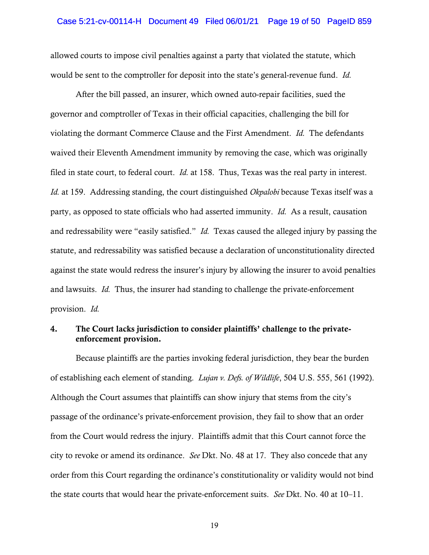allowed courts to impose civil penalties against a party that violated the statute, which would be sent to the comptroller for deposit into the state's general-revenue fund. *Id.* 

After the bill passed, an insurer, which owned auto-repair facilities, sued the governor and comptroller of Texas in their official capacities, challenging the bill for violating the dormant Commerce Clause and the First Amendment. *Id.* The defendants waived their Eleventh Amendment immunity by removing the case, which was originally filed in state court, to federal court. *Id.* at 158. Thus, Texas was the real party in interest. *Id.* at 159. Addressing standing, the court distinguished *Okpalobi* because Texas itself was a party, as opposed to state officials who had asserted immunity. *Id.* As a result, causation and redressability were "easily satisfied." *Id.* Texas caused the alleged injury by passing the statute, and redressability was satisfied because a declaration of unconstitutionality directed against the state would redress the insurer's injury by allowing the insurer to avoid penalties and lawsuits. *Id.* Thus, the insurer had standing to challenge the private-enforcement provision. *Id.* 

# 4. The Court lacks jurisdiction to consider plaintiffs' challenge to the privateenforcement provision.

Because plaintiffs are the parties invoking federal jurisdiction, they bear the burden of establishing each element of standing. *Lujan v. Defs. of Wildlife*, 504 U.S. 555, 561 (1992). Although the Court assumes that plaintiffs can show injury that stems from the city's passage of the ordinance's private-enforcement provision, they fail to show that an order from the Court would redress the injury. Plaintiffs admit that this Court cannot force the city to revoke or amend its ordinance. *See* Dkt. No. 48 at 17. They also concede that any order from this Court regarding the ordinance's constitutionality or validity would not bind the state courts that would hear the private-enforcement suits. *See* Dkt. No. 40 at 10–11.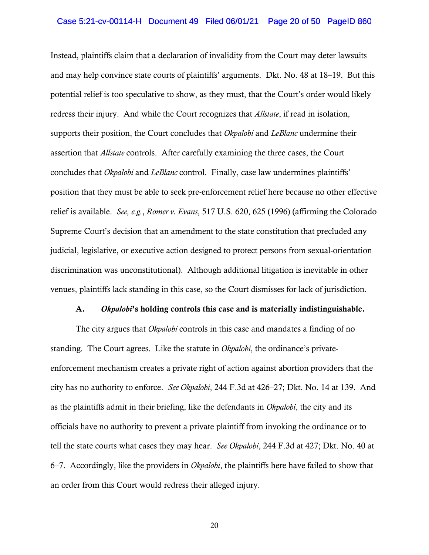Instead, plaintiffs claim that a declaration of invalidity from the Court may deter lawsuits and may help convince state courts of plaintiffs' arguments. Dkt. No. 48 at 18–19. But this potential relief is too speculative to show, as they must, that the Court's order would likely redress their injury. And while the Court recognizes that *Allstate*, if read in isolation, supports their position, the Court concludes that *Okpalobi* and *LeBlanc* undermine their assertion that *Allstate* controls. After carefully examining the three cases, the Court concludes that *Okpalobi* and *LeBlanc* control. Finally, case law undermines plaintiffs' position that they must be able to seek pre-enforcement relief here because no other effective relief is available. *See, e.g.*, *Romer v. Evans*, 517 U.S. 620, 625 (1996) (affirming the Colorado Supreme Court's decision that an amendment to the state constitution that precluded any judicial, legislative, or executive action designed to protect persons from sexual-orientation discrimination was unconstitutional). Although additional litigation is inevitable in other venues, plaintiffs lack standing in this case, so the Court dismisses for lack of jurisdiction.

#### A. *Okpalobi*'s holding controls this case and is materially indistinguishable.

The city argues that *Okpalobi* controls in this case and mandates a finding of no standing. The Court agrees. Like the statute in *Okpalobi*, the ordinance's privateenforcement mechanism creates a private right of action against abortion providers that the city has no authority to enforce. *See Okpalobi*, 244 F.3d at 426–27; Dkt. No. 14 at 139. And as the plaintiffs admit in their briefing, like the defendants in *Okpalobi*, the city and its officials have no authority to prevent a private plaintiff from invoking the ordinance or to tell the state courts what cases they may hear. *See Okpalobi*, 244 F.3d at 427; Dkt. No. 40 at 6–7. Accordingly, like the providers in *Okpalobi*, the plaintiffs here have failed to show that an order from this Court would redress their alleged injury.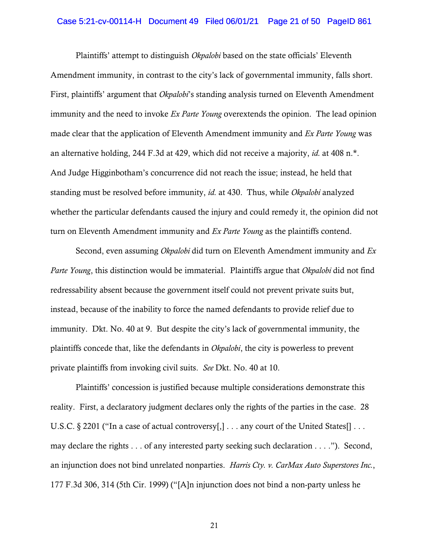## Case 5:21-cv-00114-H Document 49 Filed 06/01/21 Page 21 of 50 PageID 861

Plaintiffs' attempt to distinguish *Okpalobi* based on the state officials' Eleventh Amendment immunity, in contrast to the city's lack of governmental immunity, falls short. First, plaintiffs' argument that *Okpalobi*'s standing analysis turned on Eleventh Amendment immunity and the need to invoke *Ex Parte Young* overextends the opinion. The lead opinion made clear that the application of Eleventh Amendment immunity and *Ex Parte Young* was an alternative holding, 244 F.3d at 429, which did not receive a majority, *id.* at 408 n.\*. And Judge Higginbotham's concurrence did not reach the issue; instead, he held that standing must be resolved before immunity, *id.* at 430. Thus, while *Okpalobi* analyzed whether the particular defendants caused the injury and could remedy it, the opinion did not turn on Eleventh Amendment immunity and *Ex Parte Young* as the plaintiffs contend.

Second, even assuming *Okpalobi* did turn on Eleventh Amendment immunity and *Ex Parte Young*, this distinction would be immaterial. Plaintiffs argue that *Okpalobi* did not find redressability absent because the government itself could not prevent private suits but, instead, because of the inability to force the named defendants to provide relief due to immunity. Dkt. No. 40 at 9. But despite the city's lack of governmental immunity, the plaintiffs concede that, like the defendants in *Okpalobi*, the city is powerless to prevent private plaintiffs from invoking civil suits. *See* Dkt. No. 40 at 10.

Plaintiffs' concession is justified because multiple considerations demonstrate this reality. First, a declaratory judgment declares only the rights of the parties in the case. 28 U.S.C. § 2201 ("In a case of actual controversy[,] . . . any court of the United States[] . . . may declare the rights . . . of any interested party seeking such declaration . . . ."). Second, an injunction does not bind unrelated nonparties. *Harris Cty. v. CarMax Auto Superstores Inc.*, 177 F.3d 306, 314 (5th Cir. 1999) ("[A]n injunction does not bind a non-party unless he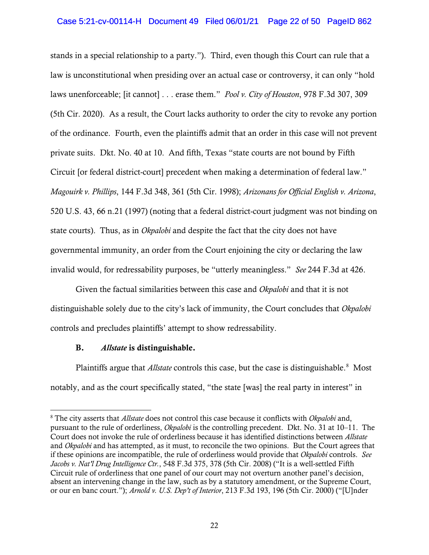# Case 5:21-cv-00114-H Document 49 Filed 06/01/21 Page 22 of 50 PageID 862

stands in a special relationship to a party."). Third, even though this Court can rule that a law is unconstitutional when presiding over an actual case or controversy, it can only "hold laws unenforceable; [it cannot] . . . erase them." *Pool v. City of Houston*, 978 F.3d 307, 309 (5th Cir. 2020). As a result, the Court lacks authority to order the city to revoke any portion of the ordinance. Fourth, even the plaintiffs admit that an order in this case will not prevent private suits. Dkt. No. 40 at 10. And fifth, Texas "state courts are not bound by Fifth Circuit [or federal district-court] precedent when making a determination of federal law." *Magouirk v. Phillips*, 144 F.3d 348, 361 (5th Cir. 1998); *Arizonans for Official English v. Arizona*, 520 U.S. 43, 66 n.21 (1997) (noting that a federal district-court judgment was not binding on state courts). Thus, as in *Okpalobi* and despite the fact that the city does not have governmental immunity, an order from the Court enjoining the city or declaring the law invalid would, for redressability purposes, be "utterly meaningless." *See* 244 F.3d at 426.

Given the factual similarities between this case and *Okpalobi* and that it is not distinguishable solely due to the city's lack of immunity, the Court concludes that *Okpalobi*  controls and precludes plaintiffs' attempt to show redressability.

## B. *Allstate* is distinguishable.

Plaintiffs argue that *Allstate* controls this case, but the case is distinguishable.<sup>[8](#page-21-0)</sup> Most notably, and as the court specifically stated, "the state [was] the real party in interest" in

<span id="page-21-0"></span><sup>8</sup> The city asserts that *Allstate* does not control this case because it conflicts with *Okpalobi* and, pursuant to the rule of orderliness, *Okpalobi* is the controlling precedent. Dkt. No. 31 at 10–11. The Court does not invoke the rule of orderliness because it has identified distinctions between *Allstate*  and *Okpalobi* and has attempted, as it must, to reconcile the two opinions. But the Court agrees that if these opinions are incompatible, the rule of orderliness would provide that *Okpalobi* controls. *See Jacobs v. Nat'l Drug Intelligence Ctr.*, 548 F.3d 375, 378 (5th Cir. 2008) ("It is a well-settled Fifth Circuit rule of orderliness that one panel of our court may not overturn another panel's decision, absent an intervening change in the law, such as by a statutory amendment, or the Supreme Court, or our en banc court."); *Arnold v. U.S. Dep't of Interior*, 213 F.3d 193, 196 (5th Cir. 2000) ("[U]nder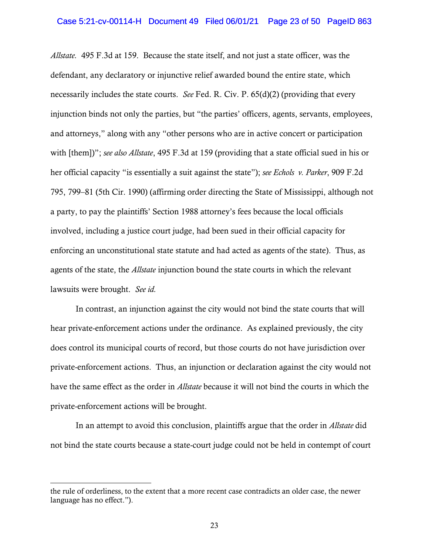*Allstate.* 495 F.3d at 159. Because the state itself, and not just a state officer, was the defendant, any declaratory or injunctive relief awarded bound the entire state, which necessarily includes the state courts. *See* Fed. R. Civ. P. 65(d)(2) (providing that every injunction binds not only the parties, but "the parties' officers, agents, servants, employees, and attorneys," along with any "other persons who are in active concert or participation with [them])"; *see also Allstate*, 495 F.3d at 159 (providing that a state official sued in his or her official capacity "is essentially a suit against the state"); *see Echols v. Parker*, 909 F.2d 795, 799–81 (5th Cir. 1990) (affirming order directing the State of Mississippi, although not a party, to pay the plaintiffs' Section 1988 attorney's fees because the local officials involved, including a justice court judge, had been sued in their official capacity for enforcing an unconstitutional state statute and had acted as agents of the state). Thus, as agents of the state, the *Allstate* injunction bound the state courts in which the relevant lawsuits were brought. *See id.* 

In contrast, an injunction against the city would not bind the state courts that will hear private-enforcement actions under the ordinance. As explained previously, the city does control its municipal courts of record, but those courts do not have jurisdiction over private-enforcement actions. Thus, an injunction or declaration against the city would not have the same effect as the order in *Allstate* because it will not bind the courts in which the private-enforcement actions will be brought.

In an attempt to avoid this conclusion, plaintiffs argue that the order in *Allstate* did not bind the state courts because a state-court judge could not be held in contempt of court

the rule of orderliness, to the extent that a more recent case contradicts an older case, the newer language has no effect.").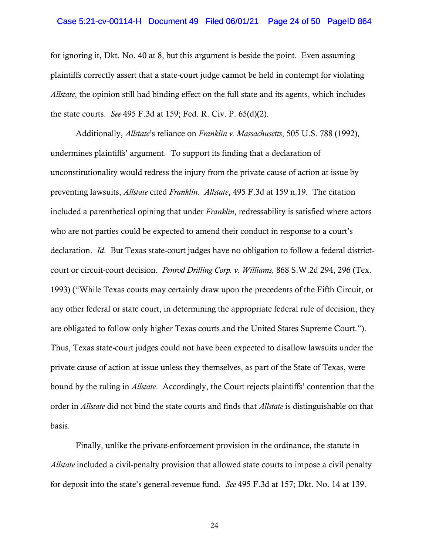#### Case 5:21-cv-00114-H Document 49 Filed 06/01/21 Page 24 of 50 PageID 864

for ignoring it, Dkt. No. 40 at 8, but this argument is beside the point. Even assuming plaintiffs correctly assert that a state-court judge cannot be held in contempt for violating *Allstate*, the opinion still had binding effect on the full state and its agents, which includes the state courts. *See* 495 F.3d at 159; Fed. R. Civ. P. 65(d)(2).

Additionally, *Allstate*'s reliance on *Franklin v. Massachusetts*, 505 U.S. 788 (1992), undermines plaintiffs' argument. To support its finding that a declaration of unconstitutionality would redress the injury from the private cause of action at issue by preventing lawsuits, *Allstate* cited *Franklin*. *Allstate*, 495 F.3d at 159 n.19. The citation included a parenthetical opining that under *Franklin*, redressability is satisfied where actors who are not parties could be expected to amend their conduct in response to a court's declaration. *Id*. But Texas state-court judges have no obligation to follow a federal districtcourt or circuit-court decision. *Penrod Drilling Corp. v. Williams*, 868 S.W.2d 294, 296 (Tex. 1993) ("While Texas courts may certainly draw upon the precedents of the Fifth Circuit, or any other federal or state court, in determining the appropriate federal rule of decision, they are obligated to follow only higher Texas courts and the United States Supreme Court."). Thus, Texas state-court judges could not have been expected to disallow lawsuits under the private cause of action at issue unless they themselves, as part of the State of Texas, were bound by the ruling in *Allstate*. Accordingly, the Court rejects plaintiffs' contention that the order in *Allstate* did not bind the state courts and finds that *Allstate* is distinguishable on that basis.

Finally, unlike the private-enforcement provision in the ordinance, the statute in *Allstate* included a civil-penalty provision that allowed state courts to impose a civil penalty for deposit into the state's general-revenue fund. *See* 495 F.3d at 157; Dkt. No. 14 at 139.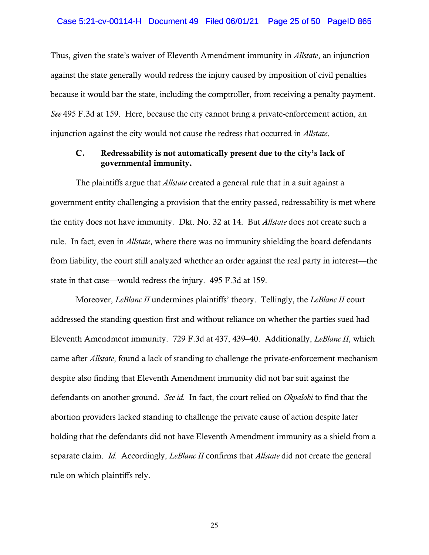Thus, given the state's waiver of Eleventh Amendment immunity in *Allstate*, an injunction against the state generally would redress the injury caused by imposition of civil penalties because it would bar the state, including the comptroller, from receiving a penalty payment. *See* 495 F.3d at 159. Here, because the city cannot bring a private-enforcement action, an injunction against the city would not cause the redress that occurred in *Allstate*.

# C. Redressability is not automatically present due to the city's lack of governmental immunity.

The plaintiffs argue that *Allstate* created a general rule that in a suit against a government entity challenging a provision that the entity passed, redressability is met where the entity does not have immunity. Dkt. No. 32 at 14. But *Allstate* does not create such a rule. In fact, even in *Allstate*, where there was no immunity shielding the board defendants from liability, the court still analyzed whether an order against the real party in interest—the state in that case—would redress the injury. 495 F.3d at 159.

Moreover, *LeBlanc II* undermines plaintiffs' theory. Tellingly, the *LeBlanc II* court addressed the standing question first and without reliance on whether the parties sued had Eleventh Amendment immunity. 729 F.3d at 437, 439–40. Additionally, *LeBlanc II*, which came after *Allstate*, found a lack of standing to challenge the private-enforcement mechanism despite also finding that Eleventh Amendment immunity did not bar suit against the defendants on another ground. *See id.* In fact, the court relied on *Okpalobi* to find that the abortion providers lacked standing to challenge the private cause of action despite later holding that the defendants did not have Eleventh Amendment immunity as a shield from a separate claim. *Id.* Accordingly, *LeBlanc II* confirms that *Allstate* did not create the general rule on which plaintiffs rely.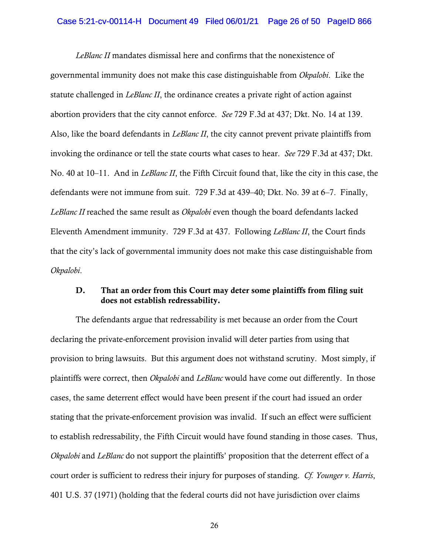*LeBlanc II* mandates dismissal here and confirms that the nonexistence of governmental immunity does not make this case distinguishable from *Okpalobi*. Like the statute challenged in *LeBlanc II*, the ordinance creates a private right of action against abortion providers that the city cannot enforce. *See* 729 F.3d at 437; Dkt. No. 14 at 139. Also, like the board defendants in *LeBlanc II*, the city cannot prevent private plaintiffs from invoking the ordinance or tell the state courts what cases to hear. *See* 729 F.3d at 437; Dkt. No. 40 at 10–11. And in *LeBlanc II*, the Fifth Circuit found that, like the city in this case, the defendants were not immune from suit. 729 F.3d at 439–40; Dkt. No. 39 at 6–7. Finally, *LeBlanc II* reached the same result as *Okpalobi* even though the board defendants lacked Eleventh Amendment immunity. 729 F.3d at 437. Following *LeBlanc II*, the Court finds that the city's lack of governmental immunity does not make this case distinguishable from *Okpalobi*.

# D. That an order from this Court may deter some plaintiffs from filing suit does not establish redressability.

The defendants argue that redressability is met because an order from the Court declaring the private-enforcement provision invalid will deter parties from using that provision to bring lawsuits. But this argument does not withstand scrutiny. Most simply, if plaintiffs were correct, then *Okpalobi* and *LeBlanc* would have come out differently. In those cases, the same deterrent effect would have been present if the court had issued an order stating that the private-enforcement provision was invalid. If such an effect were sufficient to establish redressability, the Fifth Circuit would have found standing in those cases. Thus, *Okpalobi* and *LeBlanc* do not support the plaintiffs' proposition that the deterrent effect of a court order is sufficient to redress their injury for purposes of standing. *Cf. Younger v. Harris*, 401 U.S. 37 (1971) (holding that the federal courts did not have jurisdiction over claims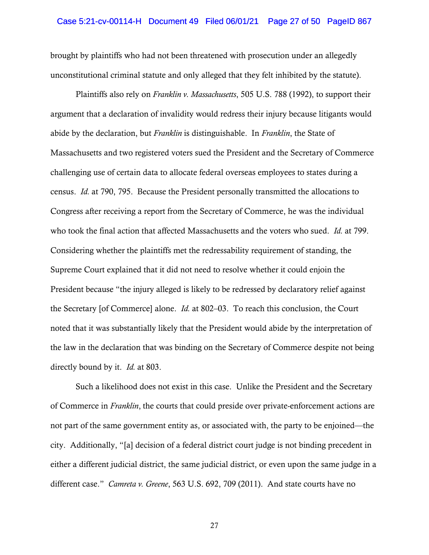brought by plaintiffs who had not been threatened with prosecution under an allegedly unconstitutional criminal statute and only alleged that they felt inhibited by the statute).

Plaintiffs also rely on *Franklin v. Massachusetts*, 505 U.S. 788 (1992), to support their argument that a declaration of invalidity would redress their injury because litigants would abide by the declaration, but *Franklin* is distinguishable. In *Franklin*, the State of Massachusetts and two registered voters sued the President and the Secretary of Commerce challenging use of certain data to allocate federal overseas employees to states during a census. *Id.* at 790, 795. Because the President personally transmitted the allocations to Congress after receiving a report from the Secretary of Commerce, he was the individual who took the final action that affected Massachusetts and the voters who sued. *Id.* at 799. Considering whether the plaintiffs met the redressability requirement of standing, the Supreme Court explained that it did not need to resolve whether it could enjoin the President because "the injury alleged is likely to be redressed by declaratory relief against the Secretary [of Commerce] alone. *Id.* at 802–03. To reach this conclusion, the Court noted that it was substantially likely that the President would abide by the interpretation of the law in the declaration that was binding on the Secretary of Commerce despite not being directly bound by it. *Id.* at 803.

Such a likelihood does not exist in this case. Unlike the President and the Secretary of Commerce in *Franklin*, the courts that could preside over private-enforcement actions are not part of the same government entity as, or associated with, the party to be enjoined—the city. Additionally, "[a] decision of a federal district court judge is not binding precedent in either a different judicial district, the same judicial district, or even upon the same judge in a different case." *Camreta v. Greene*, 563 U.S. 692, 709 (2011). And state courts have no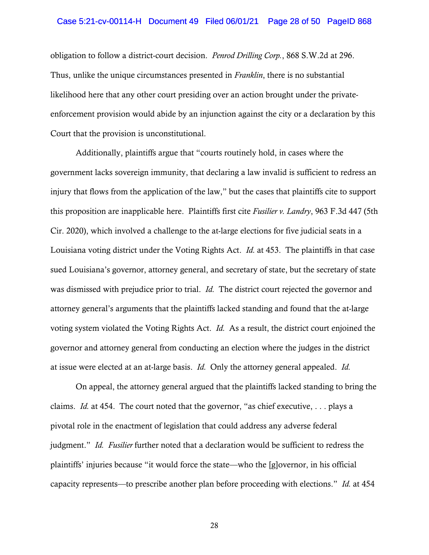#### Case 5:21-cv-00114-H Document 49 Filed 06/01/21 Page 28 of 50 PageID 868

obligation to follow a district-court decision. *Penrod Drilling Corp.*, 868 S.W.2d at 296. Thus, unlike the unique circumstances presented in *Franklin*, there is no substantial likelihood here that any other court presiding over an action brought under the privateenforcement provision would abide by an injunction against the city or a declaration by this Court that the provision is unconstitutional.

Additionally, plaintiffs argue that "courts routinely hold, in cases where the government lacks sovereign immunity, that declaring a law invalid is sufficient to redress an injury that flows from the application of the law," but the cases that plaintiffs cite to support this proposition are inapplicable here. Plaintiffs first cite *Fusilier v. Landry*, 963 F.3d 447 (5th Cir. 2020), which involved a challenge to the at-large elections for five judicial seats in a Louisiana voting district under the Voting Rights Act. *Id.* at 453. The plaintiffs in that case sued Louisiana's governor, attorney general, and secretary of state, but the secretary of state was dismissed with prejudice prior to trial. *Id.* The district court rejected the governor and attorney general's arguments that the plaintiffs lacked standing and found that the at-large voting system violated the Voting Rights Act. *Id.* As a result, the district court enjoined the governor and attorney general from conducting an election where the judges in the district at issue were elected at an at-large basis. *Id.* Only the attorney general appealed. *Id.* 

On appeal, the attorney general argued that the plaintiffs lacked standing to bring the claims. *Id.* at 454. The court noted that the governor, "as chief executive, . . . plays a pivotal role in the enactment of legislation that could address any adverse federal judgment." *Id. Fusilier* further noted that a declaration would be sufficient to redress the plaintiffs' injuries because "it would force the state—who the [g]overnor, in his official capacity represents—to prescribe another plan before proceeding with elections." *Id.* at 454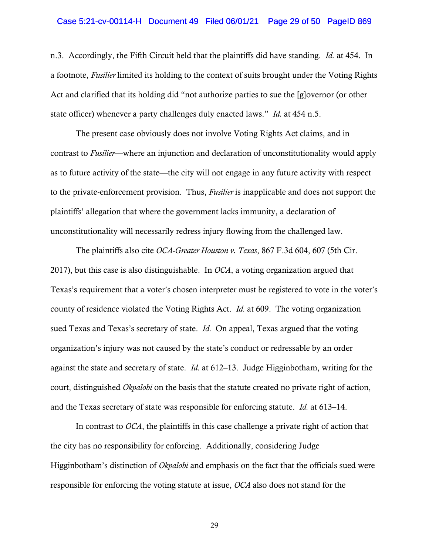#### Case 5:21-cv-00114-H Document 49 Filed 06/01/21 Page 29 of 50 PageID 869

n.3. Accordingly, the Fifth Circuit held that the plaintiffs did have standing. *Id.* at 454. In a footnote, *Fusilier* limited its holding to the context of suits brought under the Voting Rights Act and clarified that its holding did "not authorize parties to sue the [g]overnor (or other state officer) whenever a party challenges duly enacted laws." *Id.* at 454 n.5.

The present case obviously does not involve Voting Rights Act claims, and in contrast to *Fusilier*—where an injunction and declaration of unconstitutionality would apply as to future activity of the state—the city will not engage in any future activity with respect to the private-enforcement provision. Thus, *Fusilier* is inapplicable and does not support the plaintiffs' allegation that where the government lacks immunity, a declaration of unconstitutionality will necessarily redress injury flowing from the challenged law.

The plaintiffs also cite *OCA-Greater Houston v. Texas*, 867 F.3d 604, 607 (5th Cir. 2017), but this case is also distinguishable. In *OCA*, a voting organization argued that Texas's requirement that a voter's chosen interpreter must be registered to vote in the voter's county of residence violated the Voting Rights Act. *Id.* at 609. The voting organization sued Texas and Texas's secretary of state. *Id.* On appeal, Texas argued that the voting organization's injury was not caused by the state's conduct or redressable by an order against the state and secretary of state. *Id.* at 612–13. Judge Higginbotham, writing for the court, distinguished *Okpalobi* on the basis that the statute created no private right of action, and the Texas secretary of state was responsible for enforcing statute. *Id.* at 613–14.

In contrast to *OCA*, the plaintiffs in this case challenge a private right of action that the city has no responsibility for enforcing. Additionally, considering Judge Higginbotham's distinction of *Okpalobi* and emphasis on the fact that the officials sued were responsible for enforcing the voting statute at issue, *OCA* also does not stand for the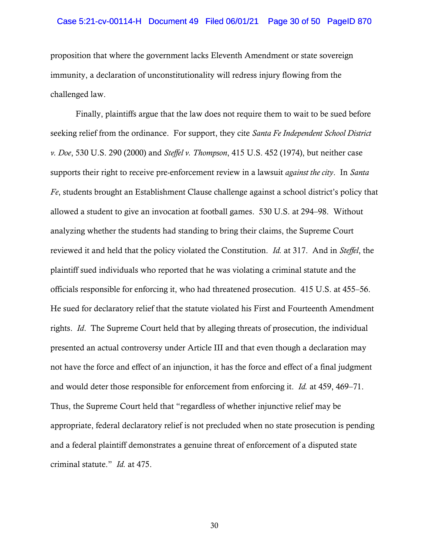#### Case 5:21-cv-00114-H Document 49 Filed 06/01/21 Page 30 of 50 PageID 870

proposition that where the government lacks Eleventh Amendment or state sovereign immunity, a declaration of unconstitutionality will redress injury flowing from the challenged law.

Finally, plaintiffs argue that the law does not require them to wait to be sued before seeking relief from the ordinance. For support, they cite *Santa Fe Independent School District v. Doe*, 530 U.S. 290 (2000) and *Steffel v. Thompson*, 415 U.S. 452 (1974), but neither case supports their right to receive pre-enforcement review in a lawsuit *against the city*. In *Santa Fe*, students brought an Establishment Clause challenge against a school district's policy that allowed a student to give an invocation at football games. 530 U.S. at 294–98. Without analyzing whether the students had standing to bring their claims, the Supreme Court reviewed it and held that the policy violated the Constitution. *Id.* at 317. And in *Steffel*, the plaintiff sued individuals who reported that he was violating a criminal statute and the officials responsible for enforcing it, who had threatened prosecution. 415 U.S. at 455–56. He sued for declaratory relief that the statute violated his First and Fourteenth Amendment rights. *Id*. The Supreme Court held that by alleging threats of prosecution, the individual presented an actual controversy under Article III and that even though a declaration may not have the force and effect of an injunction, it has the force and effect of a final judgment and would deter those responsible for enforcement from enforcing it. *Id.* at 459, 469–71. Thus, the Supreme Court held that "regardless of whether injunctive relief may be appropriate, federal declaratory relief is not precluded when no state prosecution is pending and a federal plaintiff demonstrates a genuine threat of enforcement of a disputed state criminal statute." *Id.* at 475.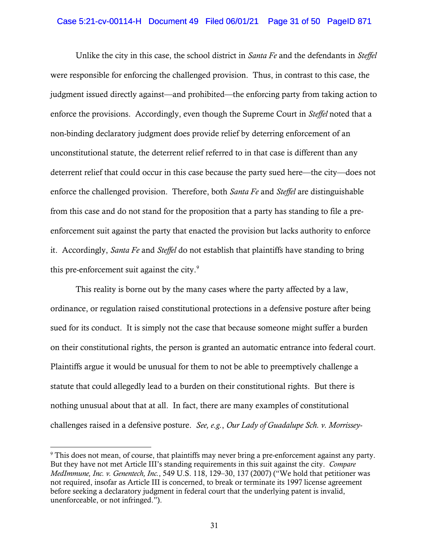#### Case 5:21-cv-00114-H Document 49 Filed 06/01/21 Page 31 of 50 PageID 871

Unlike the city in this case, the school district in *Santa Fe* and the defendants in *Steffel* were responsible for enforcing the challenged provision. Thus, in contrast to this case, the judgment issued directly against—and prohibited—the enforcing party from taking action to enforce the provisions. Accordingly, even though the Supreme Court in *Steffel* noted that a non-binding declaratory judgment does provide relief by deterring enforcement of an unconstitutional statute, the deterrent relief referred to in that case is different than any deterrent relief that could occur in this case because the party sued here—the city—does not enforce the challenged provision. Therefore, both *Santa Fe* and *Steffel* are distinguishable from this case and do not stand for the proposition that a party has standing to file a preenforcement suit against the party that enacted the provision but lacks authority to enforce it. Accordingly, *Santa Fe* and *Steffel* do not establish that plaintiffs have standing to bring this pre-enforcement suit against the city.<sup>[9](#page-30-0)</sup>

This reality is borne out by the many cases where the party affected by a law, ordinance, or regulation raised constitutional protections in a defensive posture after being sued for its conduct. It is simply not the case that because someone might suffer a burden on their constitutional rights, the person is granted an automatic entrance into federal court. Plaintiffs argue it would be unusual for them to not be able to preemptively challenge a statute that could allegedly lead to a burden on their constitutional rights. But there is nothing unusual about that at all. In fact, there are many examples of constitutional challenges raised in a defensive posture. *See, e.g.*, *Our Lady of Guadalupe Sch. v. Morrissey-*

<span id="page-30-0"></span><sup>9</sup> This does not mean, of course, that plaintiffs may never bring a pre-enforcement against any party. But they have not met Article III's standing requirements in this suit against the city. *Compare MedImmune, Inc. v. Genentech, Inc.*, 549 U.S. 118, 129–30, 137 (2007) ("We hold that petitioner was not required, insofar as Article III is concerned, to break or terminate its 1997 license agreement before seeking a declaratory judgment in federal court that the underlying patent is invalid, unenforceable, or not infringed.").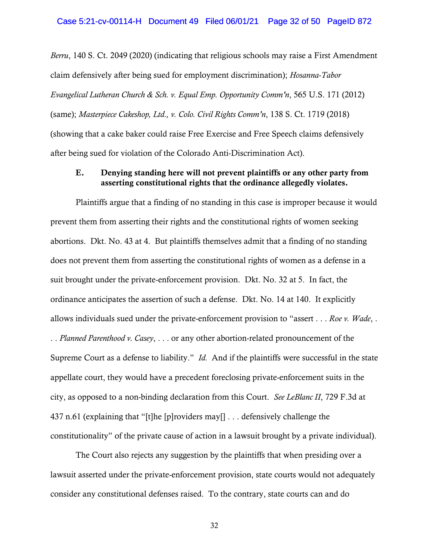*Berru*, 140 S. Ct. 2049 (2020) (indicating that religious schools may raise a First Amendment claim defensively after being sued for employment discrimination); *Hosanna-Tabor Evangelical Lutheran Church & Sch. v. Equal Emp. Opportunity Comm'n*, 565 U.S. 171 (2012) (same); *Masterpiece Cakeshop, Ltd., v. Colo. Civil Rights Comm'n*, 138 S. Ct. 1719 (2018) (showing that a cake baker could raise Free Exercise and Free Speech claims defensively after being sued for violation of the Colorado Anti-Discrimination Act).

## E. Denying standing here will not prevent plaintiffs or any other party from asserting constitutional rights that the ordinance allegedly violates.

Plaintiffs argue that a finding of no standing in this case is improper because it would prevent them from asserting their rights and the constitutional rights of women seeking abortions. Dkt. No. 43 at 4. But plaintiffs themselves admit that a finding of no standing does not prevent them from asserting the constitutional rights of women as a defense in a suit brought under the private-enforcement provision. Dkt. No. 32 at 5. In fact, the ordinance anticipates the assertion of such a defense. Dkt. No. 14 at 140. It explicitly allows individuals sued under the private-enforcement provision to "assert . . . *Roe v. Wade*, . . . *Planned Parenthood v. Casey*, . . . or any other abortion-related pronouncement of the Supreme Court as a defense to liability." *Id.* And if the plaintiffs were successful in the state appellate court, they would have a precedent foreclosing private-enforcement suits in the city, as opposed to a non-binding declaration from this Court. *See LeBlanc II*, 729 F.3d at 437 n.61 (explaining that "[t]he [p]roviders may[] . . . defensively challenge the constitutionality" of the private cause of action in a lawsuit brought by a private individual).

The Court also rejects any suggestion by the plaintiffs that when presiding over a lawsuit asserted under the private-enforcement provision, state courts would not adequately consider any constitutional defenses raised. To the contrary, state courts can and do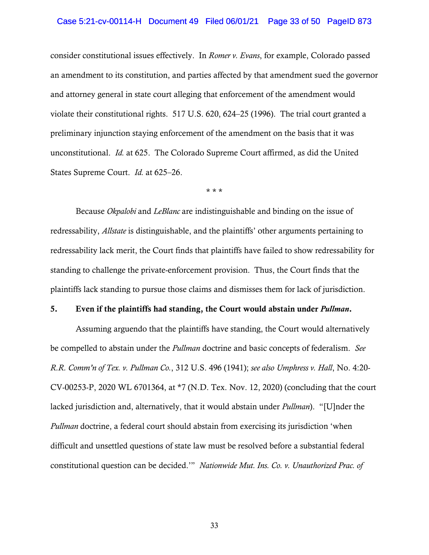## Case 5:21-cv-00114-H Document 49 Filed 06/01/21 Page 33 of 50 PageID 873

consider constitutional issues effectively. In *Romer v. Evans*, for example, Colorado passed an amendment to its constitution, and parties affected by that amendment sued the governor and attorney general in state court alleging that enforcement of the amendment would violate their constitutional rights. 517 U.S. 620, 624–25 (1996). The trial court granted a preliminary injunction staying enforcement of the amendment on the basis that it was unconstitutional. *Id.* at 625. The Colorado Supreme Court affirmed, as did the United States Supreme Court. *Id.* at 625–26.

\* \* \*

Because *Okpalobi* and *LeBlanc* are indistinguishable and binding on the issue of redressability, *Allstate* is distinguishable, and the plaintiffs' other arguments pertaining to redressability lack merit, the Court finds that plaintiffs have failed to show redressability for standing to challenge the private-enforcement provision. Thus, the Court finds that the plaintiffs lack standing to pursue those claims and dismisses them for lack of jurisdiction.

#### 5. Even if the plaintiffs had standing, the Court would abstain under *Pullman*.

Assuming arguendo that the plaintiffs have standing, the Court would alternatively be compelled to abstain under the *Pullman* doctrine and basic concepts of federalism. *See R.R. Comm'n of Tex. v. Pullman Co.*, 312 U.S. 496 (1941); *see also Umphress v. Hall*, No. 4:20- CV-00253-P, 2020 WL 6701364, at \*7 (N.D. Tex. Nov. 12, 2020) (concluding that the court lacked jurisdiction and, alternatively, that it would abstain under *Pullman*). "[U]nder the *Pullman* doctrine, a federal court should abstain from exercising its jurisdiction 'when difficult and unsettled questions of state law must be resolved before a substantial federal constitutional question can be decided.'" *Nationwide Mut. Ins. Co. v. Unauthorized Prac. of*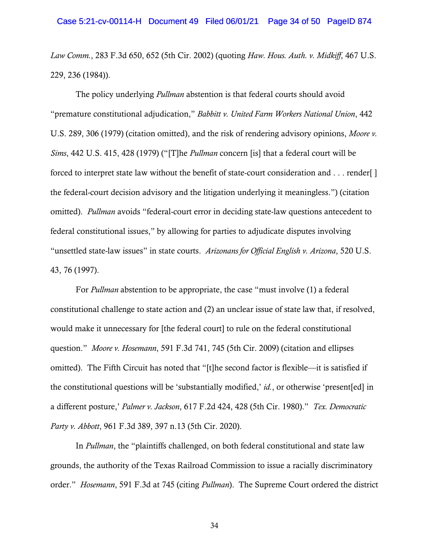*Law Comm.*, 283 F.3d 650, 652 (5th Cir. 2002) (quoting *Haw. Hous. Auth. v. Midkiff*, 467 U.S. 229, 236 (1984)).

The policy underlying *Pullman* abstention is that federal courts should avoid "premature constitutional adjudication," *Babbitt v. United Farm Workers National Union*, 442 U.S. 289, 306 (1979) (citation omitted), and the risk of rendering advisory opinions, *Moore v. Sims*, 442 U.S. 415, 428 (1979) ("[T]he *Pullman* concern [is] that a federal court will be forced to interpret state law without the benefit of state-court consideration and . . . render[ ] the federal-court decision advisory and the litigation underlying it meaningless.") (citation omitted). *Pullman* avoids "federal-court error in deciding state-law questions antecedent to federal constitutional issues," by allowing for parties to adjudicate disputes involving "unsettled state-law issues" in state courts. *Arizonans for Official English v. Arizona*, 520 U.S. 43, 76 (1997).

For *Pullman* abstention to be appropriate, the case "must involve (1) a federal constitutional challenge to state action and (2) an unclear issue of state law that, if resolved, would make it unnecessary for [the federal court] to rule on the federal constitutional question." *Moore v. Hosemann*, 591 F.3d 741, 745 (5th Cir. 2009) (citation and ellipses omitted). The Fifth Circuit has noted that "[t]he second factor is flexible—it is satisfied if the constitutional questions will be 'substantially modified,' *id.*, or otherwise 'present[ed] in a different posture,' *Palmer v. Jackson*, 617 F.2d 424, 428 (5th Cir. 1980)." *Tex. Democratic Party v. Abbott*, 961 F.3d 389, 397 n.13 (5th Cir. 2020).

In *Pullman*, the "plaintiffs challenged, on both federal constitutional and state law grounds, the authority of the Texas Railroad Commission to issue a racially discriminatory order." *Hosemann*, 591 F.3d at 745 (citing *Pullman*). The Supreme Court ordered the district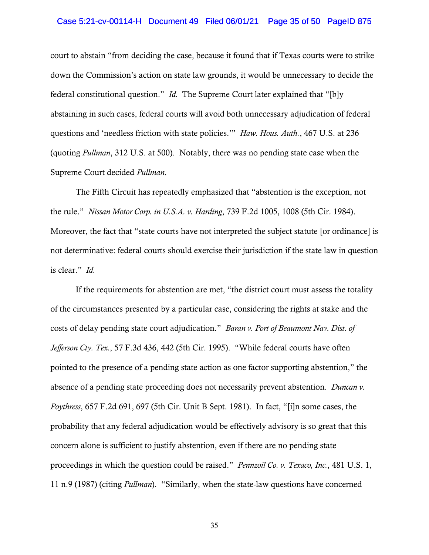## Case 5:21-cv-00114-H Document 49 Filed 06/01/21 Page 35 of 50 PageID 875

court to abstain "from deciding the case, because it found that if Texas courts were to strike down the Commission's action on state law grounds, it would be unnecessary to decide the federal constitutional question." *Id.* The Supreme Court later explained that "[b]y abstaining in such cases, federal courts will avoid both unnecessary adjudication of federal questions and 'needless friction with state policies.'" *Haw. Hous. Auth.*, 467 U.S. at 236 (quoting *Pullman*, 312 U.S. at 500). Notably, there was no pending state case when the Supreme Court decided *Pullman*.

The Fifth Circuit has repeatedly emphasized that "abstention is the exception, not the rule." *Nissan Motor Corp. in U.S.A. v. Harding*, 739 F.2d 1005, 1008 (5th Cir. 1984). Moreover, the fact that "state courts have not interpreted the subject statute [or ordinance] is not determinative: federal courts should exercise their jurisdiction if the state law in question is clear." *Id.*

If the requirements for abstention are met, "the district court must assess the totality of the circumstances presented by a particular case, considering the rights at stake and the costs of delay pending state court adjudication." *Baran v. Port of Beaumont Nav. Dist. of Jefferson Cty. Tex.*, 57 F.3d 436, 442 (5th Cir. 1995). "While federal courts have often pointed to the presence of a pending state action as one factor supporting abstention," the absence of a pending state proceeding does not necessarily prevent abstention. *Duncan v. Poythress*, 657 F.2d 691, 697 (5th Cir. Unit B Sept. 1981). In fact, "[i]n some cases, the probability that any federal adjudication would be effectively advisory is so great that this concern alone is sufficient to justify abstention, even if there are no pending state proceedings in which the question could be raised." *Pennzoil Co. v. Texaco, Inc.*, 481 U.S. 1, 11 n.9 (1987) (citing *Pullman*). "Similarly, when the state-law questions have concerned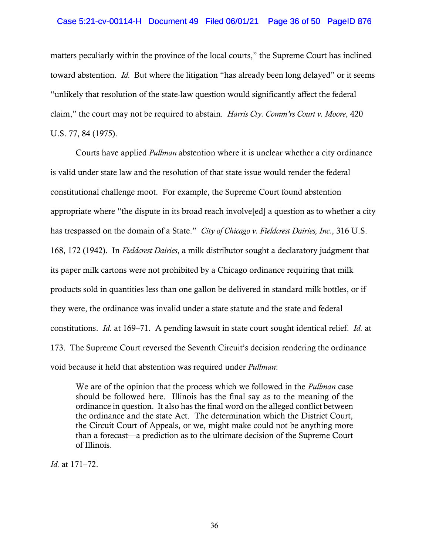## Case 5:21-cv-00114-H Document 49 Filed 06/01/21 Page 36 of 50 PageID 876

matters peculiarly within the province of the local courts," the Supreme Court has inclined toward abstention. *Id.* But where the litigation "has already been long delayed" or it seems "unlikely that resolution of the state-law question would significantly affect the federal claim," the court may not be required to abstain. *Harris Cty. Comm'rs Court v. Moore*, 420 U.S. 77, 84 (1975).

Courts have applied *Pullman* abstention where it is unclear whether a city ordinance is valid under state law and the resolution of that state issue would render the federal constitutional challenge moot. For example, the Supreme Court found abstention appropriate where "the dispute in its broad reach involve[ed] a question as to whether a city has trespassed on the domain of a State." *City of Chicago v. Fieldcrest Dairies, Inc.*, 316 U.S. 168, 172 (1942). In *Fieldcrest Dairies*, a milk distributor sought a declaratory judgment that its paper milk cartons were not prohibited by a Chicago ordinance requiring that milk products sold in quantities less than one gallon be delivered in standard milk bottles, or if they were, the ordinance was invalid under a state statute and the state and federal constitutions. *Id.* at 169–71. A pending lawsuit in state court sought identical relief. *Id.* at 173. The Supreme Court reversed the Seventh Circuit's decision rendering the ordinance void because it held that abstention was required under *Pullman*:

We are of the opinion that the process which we followed in the *Pullman* case should be followed here. Illinois has the final say as to the meaning of the ordinance in question. It also has the final word on the alleged conflict between the ordinance and the state Act. The determination which the District Court, the Circuit Court of Appeals, or we, might make could not be anything more than a forecast—a prediction as to the ultimate decision of the Supreme Court of Illinois.

*Id.* at 171–72.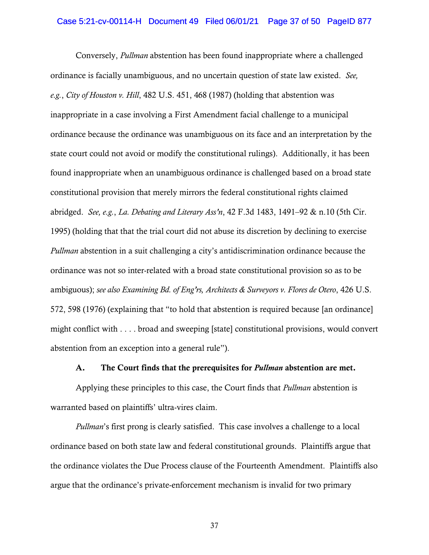#### Case 5:21-cv-00114-H Document 49 Filed 06/01/21 Page 37 of 50 PageID 877

Conversely, *Pullman* abstention has been found inappropriate where a challenged ordinance is facially unambiguous, and no uncertain question of state law existed. *See, e.g.*, *City of Houston v. Hill*, 482 U.S. 451, 468 (1987) (holding that abstention was inappropriate in a case involving a First Amendment facial challenge to a municipal ordinance because the ordinance was unambiguous on its face and an interpretation by the state court could not avoid or modify the constitutional rulings). Additionally, it has been found inappropriate when an unambiguous ordinance is challenged based on a broad state constitutional provision that merely mirrors the federal constitutional rights claimed abridged. *See, e.g.*, *La. Debating and Literary Ass'n*, 42 F.3d 1483, 1491–92 & n.10 (5th Cir. 1995) (holding that that the trial court did not abuse its discretion by declining to exercise *Pullman* abstention in a suit challenging a city's antidiscrimination ordinance because the ordinance was not so inter-related with a broad state constitutional provision so as to be ambiguous); *see also Examining Bd. of Eng'rs, Architects & Surveyors v. Flores de Otero*, 426 U.S. 572, 598 (1976) (explaining that "to hold that abstention is required because [an ordinance] might conflict with . . . . broad and sweeping [state] constitutional provisions, would convert abstention from an exception into a general rule").

## A. The Court finds that the prerequisites for *Pullman* abstention are met.

Applying these principles to this case, the Court finds that *Pullman* abstention is warranted based on plaintiffs' ultra-vires claim.

*Pullman*'s first prong is clearly satisfied. This case involves a challenge to a local ordinance based on both state law and federal constitutional grounds. Plaintiffs argue that the ordinance violates the Due Process clause of the Fourteenth Amendment. Plaintiffs also argue that the ordinance's private-enforcement mechanism is invalid for two primary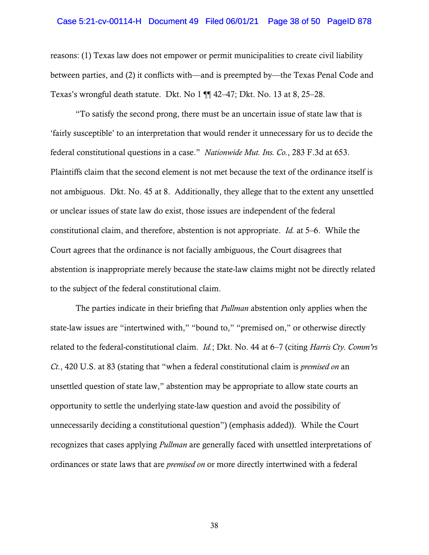#### Case 5:21-cv-00114-H Document 49 Filed 06/01/21 Page 38 of 50 PageID 878

reasons: (1) Texas law does not empower or permit municipalities to create civil liability between parties, and (2) it conflicts with—and is preempted by—the Texas Penal Code and Texas's wrongful death statute. Dkt. No 1 ¶¶ 42–47; Dkt. No. 13 at 8, 25–28.

"To satisfy the second prong, there must be an uncertain issue of state law that is 'fairly susceptible' to an interpretation that would render it unnecessary for us to decide the federal constitutional questions in a case." *Nationwide Mut. Ins. Co.*, 283 F.3d at 653. Plaintiffs claim that the second element is not met because the text of the ordinance itself is not ambiguous. Dkt. No. 45 at 8. Additionally, they allege that to the extent any unsettled or unclear issues of state law do exist, those issues are independent of the federal constitutional claim, and therefore, abstention is not appropriate. *Id.* at 5–6. While the Court agrees that the ordinance is not facially ambiguous, the Court disagrees that abstention is inappropriate merely because the state-law claims might not be directly related to the subject of the federal constitutional claim.

The parties indicate in their briefing that *Pullman* abstention only applies when the state-law issues are "intertwined with," "bound to," "premised on," or otherwise directly related to the federal-constitutional claim. *Id.*; Dkt. No. 44 at 6–7 (citing *Harris Cty. Comm'rs Ct.*, 420 U.S. at 83 (stating that "when a federal constitutional claim is *premised on* an unsettled question of state law," abstention may be appropriate to allow state courts an opportunity to settle the underlying state-law question and avoid the possibility of unnecessarily deciding a constitutional question") (emphasis added)). While the Court recognizes that cases applying *Pullman* are generally faced with unsettled interpretations of ordinances or state laws that are *premised on* or more directly intertwined with a federal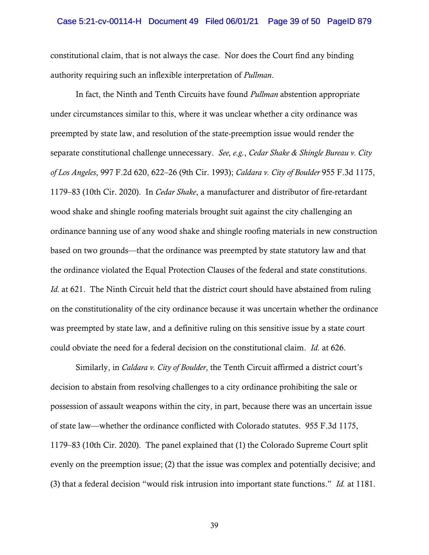#### Case 5:21-cv-00114-H Document 49 Filed 06/01/21 Page 39 of 50 PageID 879

constitutional claim, that is not always the case. Nor does the Court find any binding authority requiring such an inflexible interpretation of *Pullman*.

In fact, the Ninth and Tenth Circuits have found *Pullman* abstention appropriate under circumstances similar to this, where it was unclear whether a city ordinance was preempted by state law, and resolution of the state-preemption issue would render the separate constitutional challenge unnecessary. *See, e.g.*, *Cedar Shake & Shingle Bureau v. City of Los Angeles*, 997 F.2d 620, 622–26 (9th Cir. 1993); *Caldara v. City of Boulder* 955 F.3d 1175, 1179–83 (10th Cir. 2020). In *Cedar Shake*, a manufacturer and distributor of fire-retardant wood shake and shingle roofing materials brought suit against the city challenging an ordinance banning use of any wood shake and shingle roofing materials in new construction based on two grounds—that the ordinance was preempted by state statutory law and that the ordinance violated the Equal Protection Clauses of the federal and state constitutions. *Id.* at 621. The Ninth Circuit held that the district court should have abstained from ruling on the constitutionality of the city ordinance because it was uncertain whether the ordinance was preempted by state law, and a definitive ruling on this sensitive issue by a state court could obviate the need for a federal decision on the constitutional claim. *Id.* at 626.

Similarly, in *Caldara v. City of Boulder*, the Tenth Circuit affirmed a district court's decision to abstain from resolving challenges to a city ordinance prohibiting the sale or possession of assault weapons within the city, in part, because there was an uncertain issue of state law—whether the ordinance conflicted with Colorado statutes. 955 F.3d 1175, 1179–83 (10th Cir. 2020). The panel explained that (1) the Colorado Supreme Court split evenly on the preemption issue; (2) that the issue was complex and potentially decisive; and (3) that a federal decision "would risk intrusion into important state functions." *Id.* at 1181.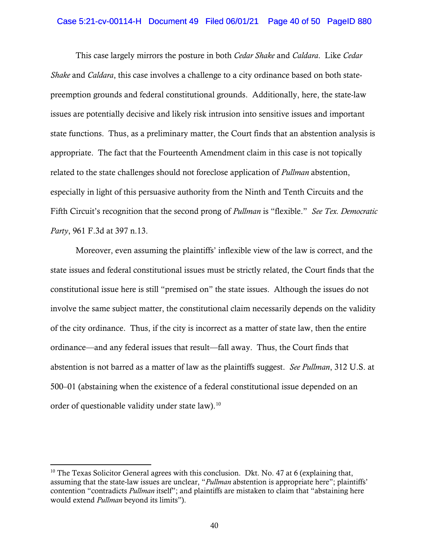#### Case 5:21-cv-00114-H Document 49 Filed 06/01/21 Page 40 of 50 PageID 880

This case largely mirrors the posture in both *Cedar Shake* and *Caldara*. Like *Cedar Shake* and *Caldara*, this case involves a challenge to a city ordinance based on both statepreemption grounds and federal constitutional grounds. Additionally, here, the state-law issues are potentially decisive and likely risk intrusion into sensitive issues and important state functions. Thus, as a preliminary matter, the Court finds that an abstention analysis is appropriate. The fact that the Fourteenth Amendment claim in this case is not topically related to the state challenges should not foreclose application of *Pullman* abstention, especially in light of this persuasive authority from the Ninth and Tenth Circuits and the Fifth Circuit's recognition that the second prong of *Pullman* is "flexible." *See Tex. Democratic Party*, 961 F.3d at 397 n.13.

Moreover, even assuming the plaintiffs' inflexible view of the law is correct, and the state issues and federal constitutional issues must be strictly related, the Court finds that the constitutional issue here is still "premised on" the state issues. Although the issues do not involve the same subject matter, the constitutional claim necessarily depends on the validity of the city ordinance. Thus, if the city is incorrect as a matter of state law, then the entire ordinance—and any federal issues that result—fall away. Thus, the Court finds that abstention is not barred as a matter of law as the plaintiffs suggest. *See Pullman*, 312 U.S. at 500–01 (abstaining when the existence of a federal constitutional issue depended on an order of questionable validity under state law).<sup>[10](#page-39-0)</sup>

<span id="page-39-0"></span><sup>&</sup>lt;sup>10</sup> The Texas Solicitor General agrees with this conclusion. Dkt. No. 47 at 6 (explaining that, assuming that the state-law issues are unclear, "*Pullman* abstention is appropriate here"; plaintiffs' contention "contradicts *Pullman* itself"; and plaintiffs are mistaken to claim that "abstaining here would extend *Pullman* beyond its limits").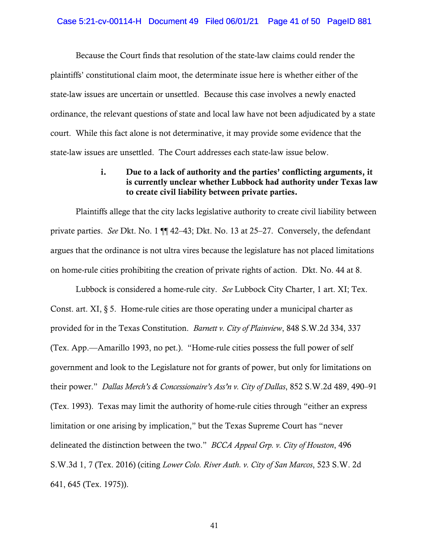#### Case 5:21-cv-00114-H Document 49 Filed 06/01/21 Page 41 of 50 PageID 881

Because the Court finds that resolution of the state-law claims could render the plaintiffs' constitutional claim moot, the determinate issue here is whether either of the state-law issues are uncertain or unsettled. Because this case involves a newly enacted ordinance, the relevant questions of state and local law have not been adjudicated by a state court. While this fact alone is not determinative, it may provide some evidence that the state-law issues are unsettled. The Court addresses each state-law issue below.

# i. Due to a lack of authority and the parties' conflicting arguments, it is currently unclear whether Lubbock had authority under Texas law to create civil liability between private parties.

Plaintiffs allege that the city lacks legislative authority to create civil liability between private parties. *See* Dkt. No. 1 ¶¶ 42–43; Dkt. No. 13 at 25–27. Conversely, the defendant argues that the ordinance is not ultra vires because the legislature has not placed limitations on home-rule cities prohibiting the creation of private rights of action. Dkt. No. 44 at 8.

Lubbock is considered a home-rule city. *See* Lubbock City Charter, 1 art. XI; Tex. Const. art. XI,  $\S 5$ . Home-rule cities are those operating under a municipal charter as provided for in the Texas Constitution. *Barnett v. City of Plainview*, 848 S.W.2d 334, 337 (Tex. App.—Amarillo 1993, no pet.). "Home-rule cities possess the full power of self government and look to the Legislature not for grants of power, but only for limitations on their power." *Dallas Merch's & Concessionaire's Ass'n v. City of Dallas*, 852 S.W.2d 489, 490–91 (Tex. 1993). Texas may limit the authority of home-rule cities through "either an express limitation or one arising by implication," but the Texas Supreme Court has "never delineated the distinction between the two." *BCCA Appeal Grp. v. City of Houston*, 496 S.W.3d 1, 7 (Tex. 2016) (citing *Lower Colo. River Auth. v. City of San Marcos*, 523 S.W. 2d 641, 645 (Tex. 1975)).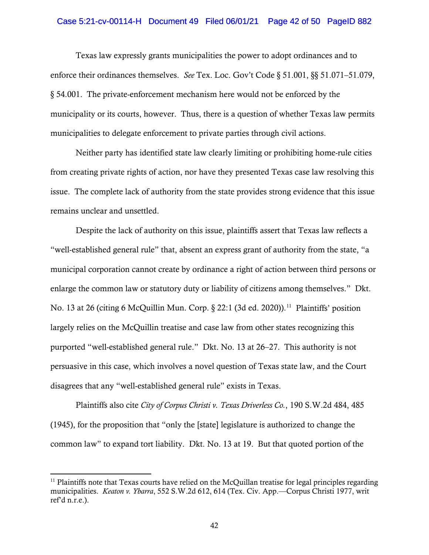### Case 5:21-cv-00114-H Document 49 Filed 06/01/21 Page 42 of 50 PageID 882

Texas law expressly grants municipalities the power to adopt ordinances and to enforce their ordinances themselves. *See* Tex. Loc. Gov't Code § 51.001, §§ 51.071–51.079, § 54.001. The private-enforcement mechanism here would not be enforced by the municipality or its courts, however. Thus, there is a question of whether Texas law permits municipalities to delegate enforcement to private parties through civil actions.

Neither party has identified state law clearly limiting or prohibiting home-rule cities from creating private rights of action, nor have they presented Texas case law resolving this issue. The complete lack of authority from the state provides strong evidence that this issue remains unclear and unsettled.

Despite the lack of authority on this issue, plaintiffs assert that Texas law reflects a "well-established general rule" that, absent an express grant of authority from the state, "a municipal corporation cannot create by ordinance a right of action between third persons or enlarge the common law or statutory duty or liability of citizens among themselves." Dkt. No. 13 at 26 (citing 6 McQuillin Mun. Corp.  $\S$  22:1 (3d ed. 2020)).<sup>[11](#page-41-0)</sup> Plaintiffs' position largely relies on the McQuillin treatise and case law from other states recognizing this purported "well-established general rule." Dkt. No. 13 at 26–27. This authority is not persuasive in this case, which involves a novel question of Texas state law, and the Court disagrees that any "well-established general rule" exists in Texas.

Plaintiffs also cite *City of Corpus Christi v. Texas Driverless Co.*, 190 S.W.2d 484, 485 (1945), for the proposition that "only the [state] legislature is authorized to change the common law" to expand tort liability. Dkt. No. 13 at 19. But that quoted portion of the

<span id="page-41-0"></span> $11$  Plaintiffs note that Texas courts have relied on the McQuillan treatise for legal principles regarding municipalities. *Keaton v. Ybarra*, 552 S.W.2d 612, 614 (Tex. Civ. App.—Corpus Christi 1977, writ ref'd n.r.e.).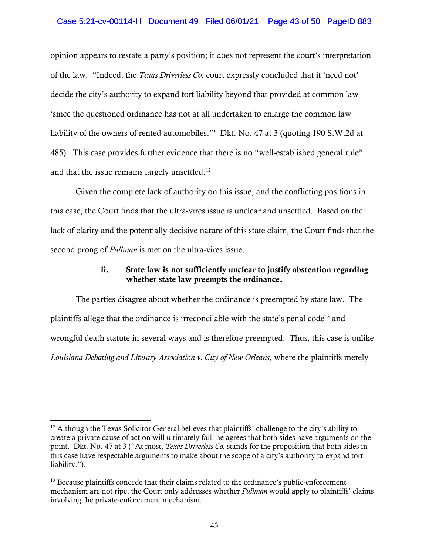## Case 5:21-cv-00114-H Document 49 Filed 06/01/21 Page 43 of 50 PageID 883

opinion appears to restate a party's position; it does not represent the court's interpretation of the law. "Indeed, the *Texas Driverless Co.* court expressly concluded that it 'need not' decide the city's authority to expand tort liability beyond that provided at common law 'since the questioned ordinance has not at all undertaken to enlarge the common law liability of the owners of rented automobiles.'" Dkt. No. 47 at 3 (quoting 190 S.W.2d at 485). This case provides further evidence that there is no "well-established general rule" and that the issue remains largely unsettled.<sup>[12](#page-42-0)</sup>

Given the complete lack of authority on this issue, and the conflicting positions in this case, the Court finds that the ultra-vires issue is unclear and unsettled. Based on the lack of clarity and the potentially decisive nature of this state claim, the Court finds that the second prong of *Pullman* is met on the ultra-vires issue.

# ii. State law is not sufficiently unclear to justify abstention regarding whether state law preempts the ordinance.

The parties disagree about whether the ordinance is preempted by state law. The plaintiffs allege that the ordinance is irreconcilable with the state's penal code<sup>[13](#page-42-1)</sup> and wrongful death statute in several ways and is therefore preempted. Thus, this case is unlike *Louisiana Debating and Literary Association v. City of New Orleans*, where the plaintiffs merely

<span id="page-42-0"></span><sup>&</sup>lt;sup>12</sup> Although the Texas Solicitor General believes that plaintiffs' challenge to the city's ability to create a private cause of action will ultimately fail, he agrees that both sides have arguments on the point. Dkt. No. 47 at 3 ("At most, *Texas Driverless Co.* stands for the proposition that both sides in this case have respectable arguments to make about the scope of a city's authority to expand tort liability.").

<span id="page-42-1"></span><sup>&</sup>lt;sup>13</sup> Because plaintiffs concede that their claims related to the ordinance's public-enforcement mechanism are not ripe, the Court only addresses whether *Pullman* would apply to plaintiffs' claims involving the private-enforcement mechanism.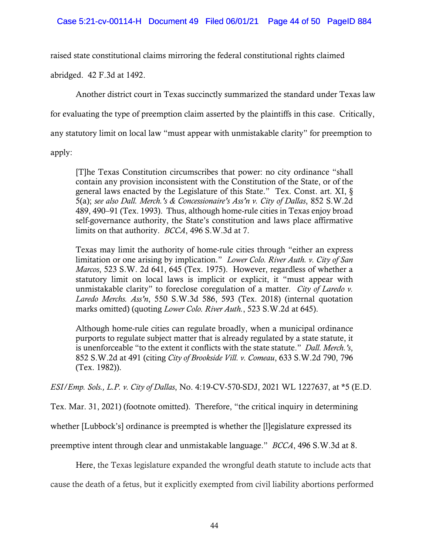raised state constitutional claims mirroring the federal constitutional rights claimed

abridged. 42 F.3d at 1492.

Another district court in Texas succinctly summarized the standard under Texas law

for evaluating the type of preemption claim asserted by the plaintiffs in this case. Critically,

any statutory limit on local law "must appear with unmistakable clarity" for preemption to

apply:

[T]he Texas Constitution circumscribes that power: no city ordinance "shall contain any provision inconsistent with the Constitution of the State, or of the general laws enacted by the Legislature of this State." Tex. Const. art. XI, § 5(a); *see also Dall. Merch.'s & Concessionaire's Ass'n v. City of Dallas*, 852 S.W.2d 489, 490–91 (Tex. 1993). Thus, although home-rule cities in Texas enjoy broad self-governance authority, the State's constitution and laws place affirmative limits on that authority. *BCCA*, 496 S.W.3d at 7.

Texas may limit the authority of home-rule cities through "either an express limitation or one arising by implication." *Lower Colo. River Auth. v. City of San Marcos*, 523 S.W. 2d 641, 645 (Tex. 1975). However, regardless of whether a statutory limit on local laws is implicit or explicit, it "must appear with unmistakable clarity" to foreclose coregulation of a matter. *City of Laredo v. Laredo Merchs. Ass'n*, 550 S.W.3d 586, 593 (Tex. 2018) (internal quotation marks omitted) (quoting *Lower Colo. River Auth.*, 523 S.W.2d at 645).

Although home-rule cities can regulate broadly, when a municipal ordinance purports to regulate subject matter that is already regulated by a state statute, it is unenforceable "to the extent it conflicts with the state statute." *Dall. Merch.'s*, 852 S.W.2d at 491 (citing *City of Brookside Vill. v. Comeau*, 633 S.W.2d 790, 796 (Tex. 1982)).

*ESI/Emp. Sols., L.P. v. City of Dallas*, No. 4:19-CV-570-SDJ, 2021 WL 1227637, at \*5 (E.D.

Tex. Mar. 31, 2021) (footnote omitted). Therefore, "the critical inquiry in determining

whether [Lubbock's] ordinance is preempted is whether the [l]egislature expressed its

preemptive intent through clear and unmistakable language." *BCCA*, 496 S.W.3d at 8.

Here, the Texas legislature expanded the wrongful death statute to include acts that

cause the death of a fetus, but it explicitly exempted from civil liability abortions performed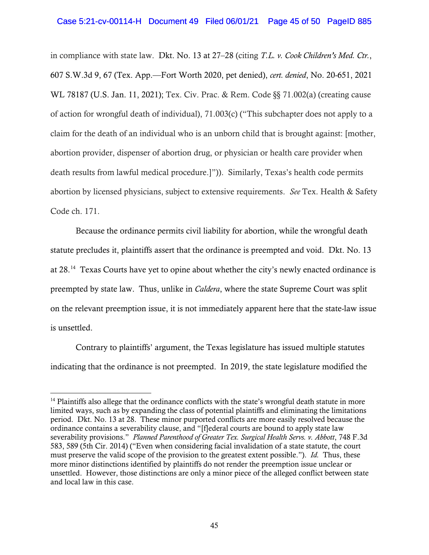in compliance with state law. Dkt. No. 13 at 27–28 (citing *T.L. v. Cook Children's Med. Ctr.*, 607 S.W.3d 9, 67 (Tex. App.—Fort Worth 2020, pet denied), *cert. denied*, No. 20-651, 2021 WL 78187 (U.S. Jan. 11, 2021); Tex. Civ. Prac. & Rem. Code §§ 71.002(a) (creating cause of action for wrongful death of individual), 71.003(c) ("This subchapter does not apply to a claim for the death of an individual who is an unborn child that is brought against: [mother, abortion provider, dispenser of abortion drug, or physician or health care provider when death results from lawful medical procedure.]")). Similarly, Texas's health code permits abortion by licensed physicians, subject to extensive requirements. *See* Tex. Health & Safety Code ch. 171.

Because the ordinance permits civil liability for abortion, while the wrongful death statute precludes it, plaintiffs assert that the ordinance is preempted and void. Dkt. No. 13 at 28.[14](#page-44-0) Texas Courts have yet to opine about whether the city's newly enacted ordinance is preempted by state law. Thus, unlike in *Caldera*, where the state Supreme Court was split on the relevant preemption issue, it is not immediately apparent here that the state-law issue is unsettled.

Contrary to plaintiffs' argument, the Texas legislature has issued multiple statutes indicating that the ordinance is not preempted. In 2019, the state legislature modified the

<span id="page-44-0"></span><sup>&</sup>lt;sup>14</sup> Plaintiffs also allege that the ordinance conflicts with the state's wrongful death statute in more limited ways, such as by expanding the class of potential plaintiffs and eliminating the limitations period. Dkt. No. 13 at 28. These minor purported conflicts are more easily resolved because the ordinance contains a severability clause, and "[f]ederal courts are bound to apply state law severability provisions." *Planned Parenthood of Greater Tex. Surgical Health Servs. v. Abbott*, 748 F.3d 583, 589 (5th Cir. 2014) ("Even when considering facial invalidation of a state statute, the court must preserve the valid scope of the provision to the greatest extent possible."). *Id.* Thus, these more minor distinctions identified by plaintiffs do not render the preemption issue unclear or unsettled. However, those distinctions are only a minor piece of the alleged conflict between state and local law in this case.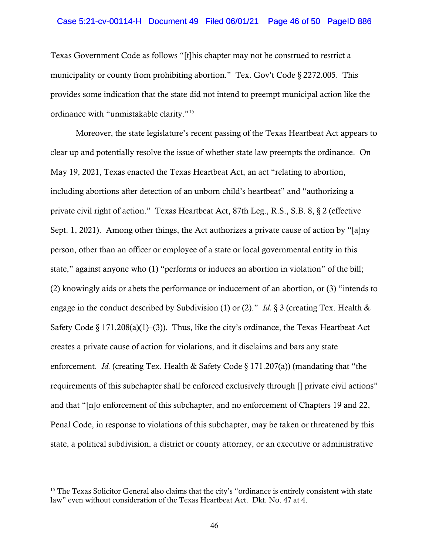#### Case 5:21-cv-00114-H Document 49 Filed 06/01/21 Page 46 of 50 PageID 886

Texas Government Code as follows "[t]his chapter may not be construed to restrict a municipality or county from prohibiting abortion." Tex. Gov't Code § 2272.005. This provides some indication that the state did not intend to preempt municipal action like the ordinance with "unmistakable clarity."[15](#page-45-0)

Moreover, the state legislature's recent passing of the Texas Heartbeat Act appears to clear up and potentially resolve the issue of whether state law preempts the ordinance. On May 19, 2021, Texas enacted the Texas Heartbeat Act, an act "relating to abortion, including abortions after detection of an unborn child's heartbeat" and "authorizing a private civil right of action." Texas Heartbeat Act, 87th Leg., R.S., S.B. 8, § 2 (effective Sept. 1, 2021). Among other things, the Act authorizes a private cause of action by "[a]ny person, other than an officer or employee of a state or local governmental entity in this state," against anyone who (1) "performs or induces an abortion in violation" of the bill; (2) knowingly aids or abets the performance or inducement of an abortion, or (3) "intends to engage in the conduct described by Subdivision (1) or (2)." *Id.* § 3 (creating Tex. Health & Safety Code § 171.208(a)(1)–(3)). Thus, like the city's ordinance, the Texas Heartbeat Act creates a private cause of action for violations, and it disclaims and bars any state enforcement. *Id.* (creating Tex. Health & Safety Code § 171.207(a)) (mandating that "the requirements of this subchapter shall be enforced exclusively through [] private civil actions" and that "[n]o enforcement of this subchapter, and no enforcement of Chapters 19 and 22, Penal Code, in response to violations of this subchapter, may be taken or threatened by this state, a political subdivision, a district or county attorney, or an executive or administrative

<span id="page-45-0"></span><sup>&</sup>lt;sup>15</sup> The Texas Solicitor General also claims that the city's "ordinance is entirely consistent with state law" even without consideration of the Texas Heartbeat Act. Dkt. No. 47 at 4.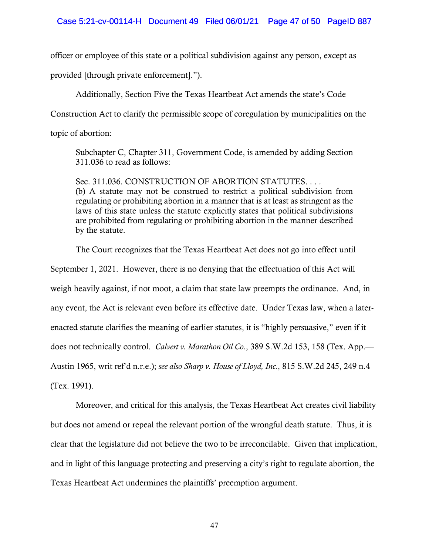officer or employee of this state or a political subdivision against any person, except as

provided [through private enforcement].").

Additionally, Section Five the Texas Heartbeat Act amends the state's Code

Construction Act to clarify the permissible scope of coregulation by municipalities on the

topic of abortion:

Subchapter C, Chapter 311, Government Code, is amended by adding Section 311.036 to read as follows:

Sec. 311.036. CONSTRUCTION OF ABORTION STATUTES. . . . (b) A statute may not be construed to restrict a political subdivision from regulating or prohibiting abortion in a manner that is at least as stringent as the laws of this state unless the statute explicitly states that political subdivisions are prohibited from regulating or prohibiting abortion in the manner described by the statute.

The Court recognizes that the Texas Heartbeat Act does not go into effect until

September 1, 2021. However, there is no denying that the effectuation of this Act will weigh heavily against, if not moot, a claim that state law preempts the ordinance. And, in any event, the Act is relevant even before its effective date. Under Texas law, when a laterenacted statute clarifies the meaning of earlier statutes, it is "highly persuasive," even if it does not technically control. *Calvert v. Marathon Oil Co.*, 389 S.W.2d 153, 158 (Tex. App.— Austin 1965, writ ref'd n.r.e.); *see also Sharp v. House of Lloyd, Inc.*, 815 S.W.2d 245, 249 n.4 (Tex. 1991).

Moreover, and critical for this analysis, the Texas Heartbeat Act creates civil liability but does not amend or repeal the relevant portion of the wrongful death statute. Thus, it is clear that the legislature did not believe the two to be irreconcilable. Given that implication, and in light of this language protecting and preserving a city's right to regulate abortion, the Texas Heartbeat Act undermines the plaintiffs' preemption argument.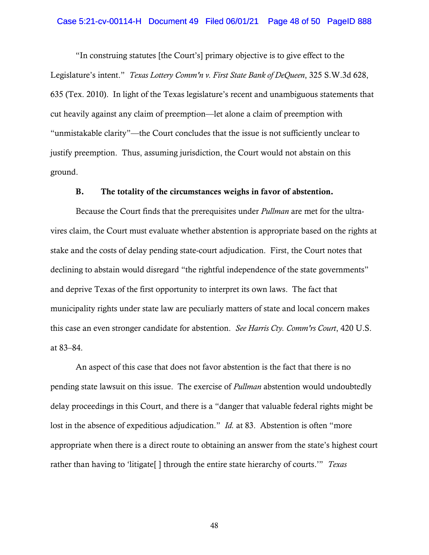#### Case 5:21-cv-00114-H Document 49 Filed 06/01/21 Page 48 of 50 PageID 888

"In construing statutes [the Court's] primary objective is to give effect to the Legislature's intent." *Texas Lottery Comm'n v. First State Bank of DeQueen*, 325 S.W.3d 628, 635 (Tex. 2010). In light of the Texas legislature's recent and unambiguous statements that cut heavily against any claim of preemption—let alone a claim of preemption with "unmistakable clarity"—the Court concludes that the issue is not sufficiently unclear to justify preemption. Thus, assuming jurisdiction, the Court would not abstain on this ground.

#### B. The totality of the circumstances weighs in favor of abstention.

Because the Court finds that the prerequisites under *Pullman* are met for the ultravires claim, the Court must evaluate whether abstention is appropriate based on the rights at stake and the costs of delay pending state-court adjudication. First, the Court notes that declining to abstain would disregard "the rightful independence of the state governments" and deprive Texas of the first opportunity to interpret its own laws. The fact that municipality rights under state law are peculiarly matters of state and local concern makes this case an even stronger candidate for abstention. *See Harris Cty. Comm'rs Court*, 420 U.S. at 83–84.

An aspect of this case that does not favor abstention is the fact that there is no pending state lawsuit on this issue. The exercise of *Pullman* abstention would undoubtedly delay proceedings in this Court, and there is a "danger that valuable federal rights might be lost in the absence of expeditious adjudication." *Id.* at 83. Abstention is often "more appropriate when there is a direct route to obtaining an answer from the state's highest court rather than having to 'litigate[ ] through the entire state hierarchy of courts.'" *Texas*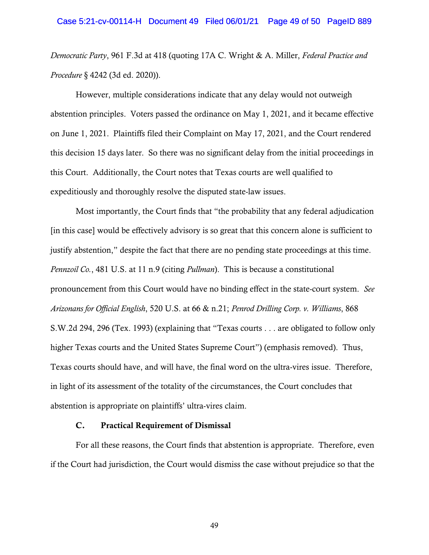*Democratic Party*, 961 F.3d at 418 (quoting 17A C. Wright & A. Miller, *Federal Practice and Procedure* § 4242 (3d ed. 2020)).

However, multiple considerations indicate that any delay would not outweigh abstention principles. Voters passed the ordinance on May 1, 2021, and it became effective on June 1, 2021. Plaintiffs filed their Complaint on May 17, 2021, and the Court rendered this decision 15 days later. So there was no significant delay from the initial proceedings in this Court. Additionally, the Court notes that Texas courts are well qualified to expeditiously and thoroughly resolve the disputed state-law issues.

Most importantly, the Court finds that "the probability that any federal adjudication [in this case] would be effectively advisory is so great that this concern alone is sufficient to justify abstention," despite the fact that there are no pending state proceedings at this time. *Pennzoil Co.*, 481 U.S. at 11 n.9 (citing *Pullman*). This is because a constitutional pronouncement from this Court would have no binding effect in the state-court system. *See Arizonans for Official English*, 520 U.S. at 66 & n.21; *Penrod Drilling Corp. v. Williams*, 868 S.W.2d 294, 296 (Tex. 1993) (explaining that "Texas courts . . . are obligated to follow only higher Texas courts and the United States Supreme Court") (emphasis removed). Thus, Texas courts should have, and will have, the final word on the ultra-vires issue. Therefore, in light of its assessment of the totality of the circumstances, the Court concludes that abstention is appropriate on plaintiffs' ultra-vires claim.

# C. Practical Requirement of Dismissal

For all these reasons, the Court finds that abstention is appropriate. Therefore, even if the Court had jurisdiction, the Court would dismiss the case without prejudice so that the